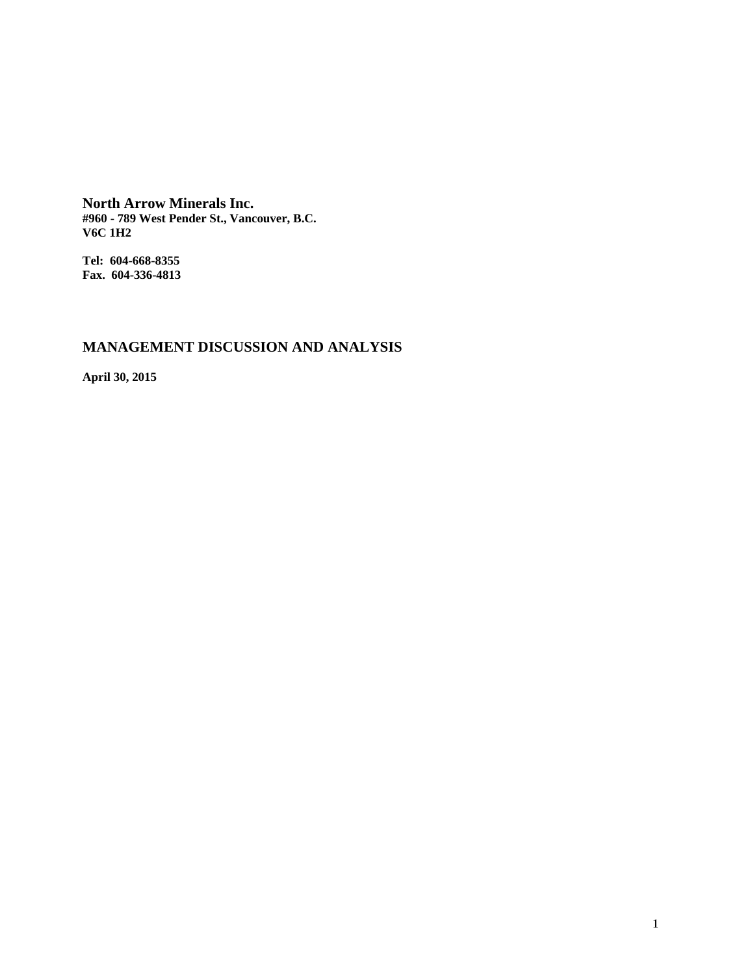**North Arrow Minerals Inc. #960 - 789 West Pender St., Vancouver, B.C. V6C 1H2**

**Tel: 604-668-8355 Fax. 604-336-4813**

# **MANAGEMENT DISCUSSION AND ANALYSIS**

**April 30, 2015**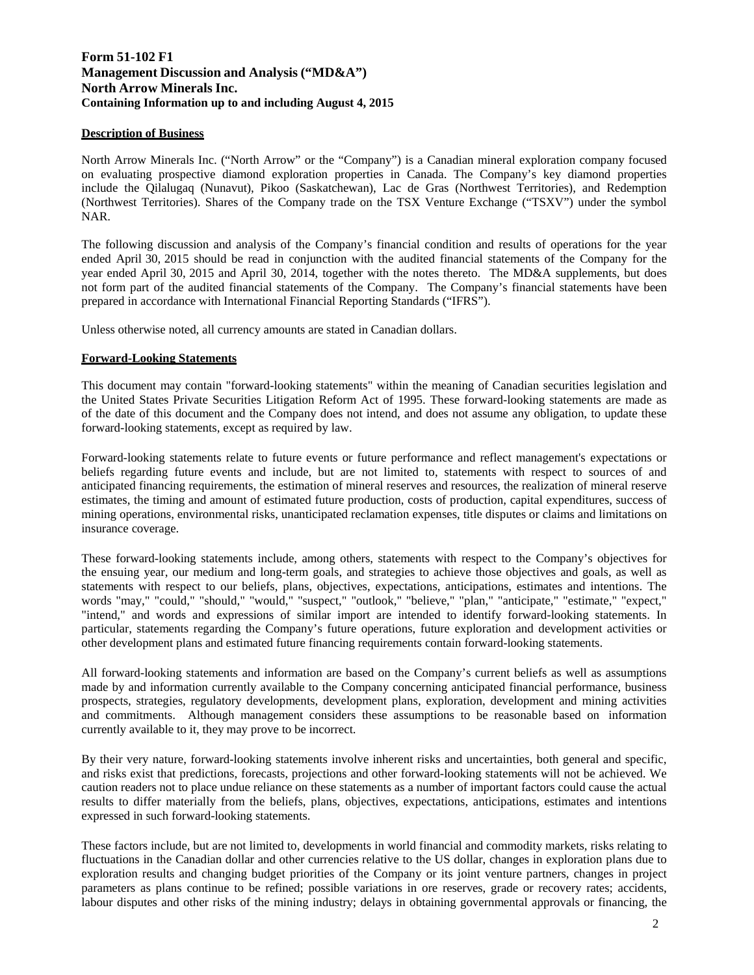# **Form 51-102 F1 Management Discussion and Analysis ("MD&A") North Arrow Minerals Inc. Containing Information up to and including August 4, 2015**

# **Description of Business**

North Arrow Minerals Inc. ("North Arrow" or the "Company") is a Canadian mineral exploration company focused on evaluating prospective diamond exploration properties in Canada. The Company's key diamond properties include the Qilalugaq (Nunavut), Pikoo (Saskatchewan), Lac de Gras (Northwest Territories), and Redemption (Northwest Territories). Shares of the Company trade on the TSX Venture Exchange ("TSXV") under the symbol NAR.

The following discussion and analysis of the Company's financial condition and results of operations for the year ended April 30, 2015 should be read in conjunction with the audited financial statements of the Company for the year ended April 30, 2015 and April 30, 2014, together with the notes thereto. The MD&A supplements, but does not form part of the audited financial statements of the Company. The Company's financial statements have been prepared in accordance with International Financial Reporting Standards ("IFRS").

Unless otherwise noted, all currency amounts are stated in Canadian dollars.

#### **Forward-Looking Statements**

This document may contain "forward-looking statements" within the meaning of Canadian securities legislation and the United States Private Securities Litigation Reform Act of 1995. These forward-looking statements are made as of the date of this document and the Company does not intend, and does not assume any obligation, to update these forward-looking statements, except as required by law.

Forward-looking statements relate to future events or future performance and reflect management's expectations or beliefs regarding future events and include, but are not limited to, statements with respect to sources of and anticipated financing requirements, the estimation of mineral reserves and resources, the realization of mineral reserve estimates, the timing and amount of estimated future production, costs of production, capital expenditures, success of mining operations, environmental risks, unanticipated reclamation expenses, title disputes or claims and limitations on insurance coverage.

These forward-looking statements include, among others, statements with respect to the Company's objectives for the ensuing year, our medium and long-term goals, and strategies to achieve those objectives and goals, as well as statements with respect to our beliefs, plans, objectives, expectations, anticipations, estimates and intentions. The words "may," "could," "should," "would," "suspect," "outlook," "believe," "plan," "anticipate," "estimate," "expect," "intend," and words and expressions of similar import are intended to identify forward-looking statements. In particular, statements regarding the Company's future operations, future exploration and development activities or other development plans and estimated future financing requirements contain forward-looking statements.

All forward-looking statements and information are based on the Company's current beliefs as well as assumptions made by and information currently available to the Company concerning anticipated financial performance, business prospects, strategies, regulatory developments, development plans, exploration, development and mining activities and commitments. Although management considers these assumptions to be reasonable based on information currently available to it, they may prove to be incorrect.

By their very nature, forward-looking statements involve inherent risks and uncertainties, both general and specific, and risks exist that predictions, forecasts, projections and other forward-looking statements will not be achieved. We caution readers not to place undue reliance on these statements as a number of important factors could cause the actual results to differ materially from the beliefs, plans, objectives, expectations, anticipations, estimates and intentions expressed in such forward-looking statements.

These factors include, but are not limited to, developments in world financial and commodity markets, risks relating to fluctuations in the Canadian dollar and other currencies relative to the US dollar, changes in exploration plans due to exploration results and changing budget priorities of the Company or its joint venture partners, changes in project parameters as plans continue to be refined; possible variations in ore reserves, grade or recovery rates; accidents, labour disputes and other risks of the mining industry; delays in obtaining governmental approvals or financing, the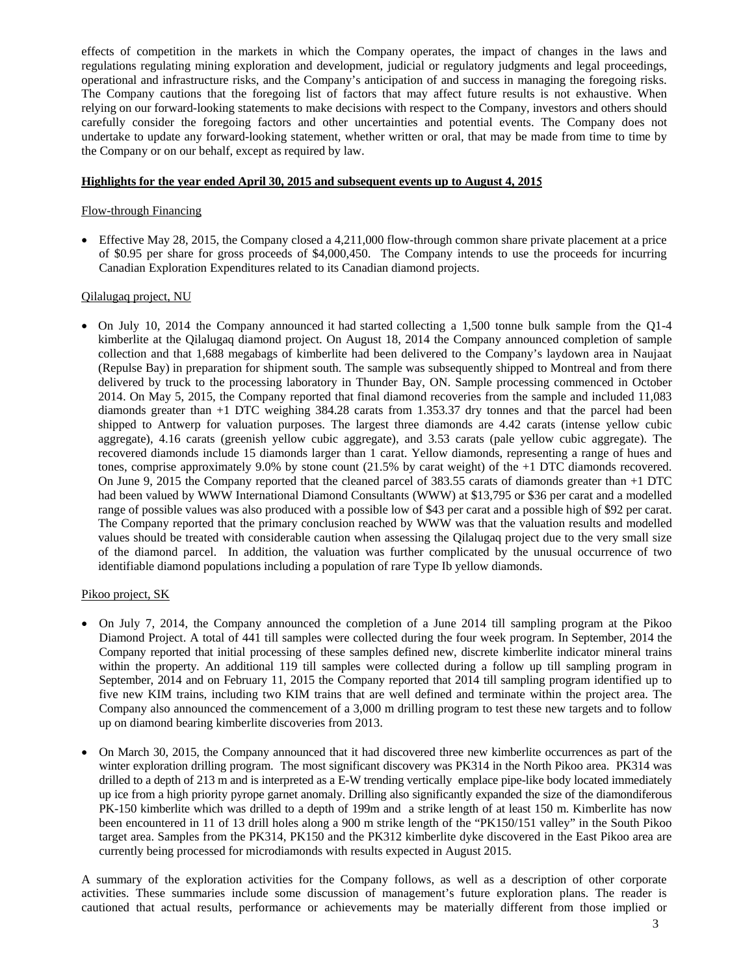effects of competition in the markets in which the Company operates, the impact of changes in the laws and regulations regulating mining exploration and development, judicial or regulatory judgments and legal proceedings, operational and infrastructure risks, and the Company's anticipation of and success in managing the foregoing risks. The Company cautions that the foregoing list of factors that may affect future results is not exhaustive. When relying on our forward-looking statements to make decisions with respect to the Company, investors and others should carefully consider the foregoing factors and other uncertainties and potential events. The Company does not undertake to update any forward-looking statement, whether written or oral, that may be made from time to time by the Company or on our behalf, except as required by law.

# **Highlights for the year ended April 30, 2015 and subsequent events up to August 4, 201**

# Flow-through Financing

 Effective May 28, 2015, the Company closed a 4,211,000 flow-through common share private placement at a price of \$0.95 per share for gross proceeds of \$4,000,450. The Company intends to use the proceeds for incurring Canadian Exploration Expenditures related to its Canadian diamond projects.

# Qilalugaq project, NU

 On July 10, 2014 the Company announced it had started collecting a 1,500 tonne bulk sample from the Q1-4 kimberlite at the Qilalugaq diamond project. On August 18, 2014 the Company announced completion of sample collection and that 1,688 megabags of kimberlite had been delivered to the Company's laydown area in Naujaat (Repulse Bay) in preparation for shipment south. The sample was subsequently shipped to Montreal and from there delivered by truck to the processing laboratory in Thunder Bay, ON. Sample processing commenced in October 2014. On May 5, 2015, the Company reported that final diamond recoveries from the sample and included 11,083 diamonds greater than +1 DTC weighing 384.28 carats from 1.353.37 dry tonnes and that the parcel had been shipped to Antwerp for valuation purposes. The largest three diamonds are 4.42 carats (intense yellow cubic aggregate), 4.16 carats (greenish yellow cubic aggregate), and 3.53 carats (pale yellow cubic aggregate). The recovered diamonds include 15 diamonds larger than 1 carat. Yellow diamonds, representing a range of hues and tones, comprise approximately 9.0% by stone count (21.5% by carat weight) of the +1 DTC diamonds recovered. On June 9, 2015 the Company reported that the cleaned parcel of 383.55 carats of diamonds greater than +1 DTC had been valued by WWW International Diamond Consultants (WWW) at \$13,795 or \$36 per carat and a modelled range of possible values was also produced with a possible low of \$43 per carat and a possible high of \$92 per carat. The Company reported that the primary conclusion reached by WWW was that the valuation results and modelled values should be treated with considerable caution when assessing the Qilalugaq project due to the very small size of the diamond parcel. In addition, the valuation was further complicated by the unusual occurrence of two identifiable diamond populations including a population of rare Type Ib yellow diamonds.

# Pikoo project, SK

- On July 7, 2014, the Company announced the completion of a June 2014 till sampling program at the Pikoo Diamond Project. A total of 441 till samples were collected during the four week program. In September, 2014 the Company reported that initial processing of these samples defined new, discrete kimberlite indicator mineral trains within the property. An additional 119 till samples were collected during a follow up till sampling program in September, 2014 and on February 11, 2015 the Company reported that 2014 till sampling program identified up to five new KIM trains, including two KIM trains that are well defined and terminate within the project area. The Company also announced the commencement of a 3,000 m drilling program to test these new targets and to follow up on diamond bearing kimberlite discoveries from 2013.
- On March 30, 2015, the Company announced that it had discovered three new kimberlite occurrences as part of the winter exploration drilling program. The most significant discovery was PK314 in the North Pikoo area. PK314 was drilled to a depth of 213 m and is interpreted as a E-W trending vertically emplace pipe-like body located immediately up ice from a high priority pyrope garnet anomaly. Drilling also significantly expanded the size of the diamondiferous PK-150 kimberlite which was drilled to a depth of 199m and a strike length of at least 150 m. Kimberlite has now been encountered in 11 of 13 drill holes along a 900 m strike length of the "PK150/151 valley" in the South Pikoo target area. Samples from the PK314, PK150 and the PK312 kimberlite dyke discovered in the East Pikoo area are currently being processed for microdiamonds with results expected in August 2015.

A summary of the exploration activities for the Company follows, as well as a description of other corporate activities. These summaries include some discussion of management's future exploration plans. The reader is cautioned that actual results, performance or achievements may be materially different from those implied or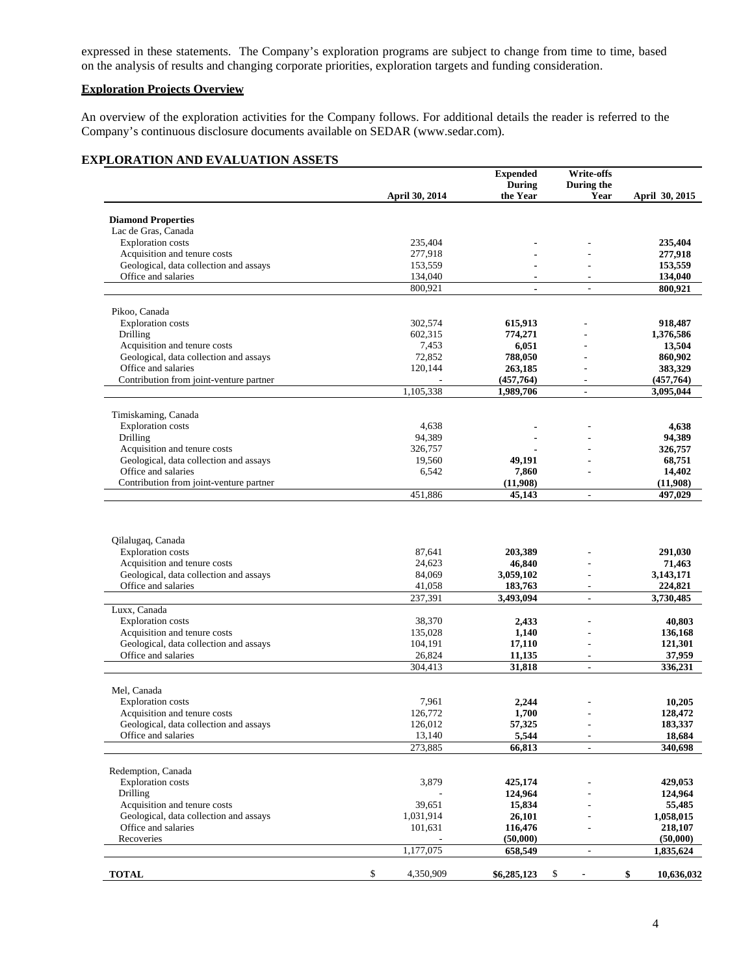expressed in these statements. The Company's exploration programs are subject to change from time to time, based on the analysis of results and changing corporate priorities, exploration targets and funding consideration.

# **Exploration Projects Overview**

An overview of the exploration activities for the Company follows. For additional details the reader is referred to the Company's continuous disclosure documents available on SEDAR (www.sedar.com).

# **EXPLORATION AND EVALUATION ASSETS**

|                                                                               | April 30, 2014  |                  | <b>Expended</b><br><b>During</b><br>the Year | Write-offs<br>During the<br>Year | April 30, 2015        |
|-------------------------------------------------------------------------------|-----------------|------------------|----------------------------------------------|----------------------------------|-----------------------|
| <b>Diamond Properties</b>                                                     |                 |                  |                                              |                                  |                       |
| Lac de Gras, Canada                                                           |                 |                  |                                              |                                  |                       |
| <b>Exploration</b> costs                                                      | 235,404         |                  |                                              |                                  | 235,404               |
| Acquisition and tenure costs                                                  | 277,918         |                  |                                              |                                  | 277,918               |
| Geological, data collection and assays                                        | 153,559         |                  |                                              |                                  | 153,559               |
| Office and salaries                                                           | 134,040         |                  |                                              | $\overline{a}$                   | 134,040               |
|                                                                               | 800,921         |                  | $\blacksquare$                               | $\overline{\phantom{a}}$         | 800,921               |
| Pikoo, Canada                                                                 |                 |                  |                                              |                                  |                       |
| <b>Exploration</b> costs                                                      | 302,574         |                  | 615,913                                      |                                  | 918,487               |
| Drilling                                                                      | 602,315         |                  | 774,271                                      |                                  | 1,376,586             |
| Acquisition and tenure costs                                                  |                 | 7,453            | 6,051                                        |                                  | 13,504                |
| Geological, data collection and assays                                        |                 | 72,852           | 788,050                                      |                                  | 860,902               |
| Office and salaries                                                           | 120,144         |                  | 263,185                                      |                                  | 383,329               |
| Contribution from joint-venture partner                                       |                 |                  | (457,764)                                    | $\overline{\phantom{a}}$         | (457,764)             |
|                                                                               | 1,105,338       |                  | 1,989,706                                    | $\overline{\phantom{a}}$         | 3,095,044             |
|                                                                               |                 |                  |                                              |                                  |                       |
| Timiskaming, Canada<br><b>Exploration</b> costs                               |                 | 4,638            |                                              |                                  | 4,638                 |
|                                                                               |                 |                  |                                              |                                  |                       |
| Drilling                                                                      |                 | 94,389           |                                              |                                  | 94,389                |
| Acquisition and tenure costs<br>Geological, data collection and assays        | 326,757         |                  |                                              |                                  | 326,757<br>68,751     |
| Office and salaries                                                           |                 | 19,560           | 49,191                                       |                                  |                       |
|                                                                               |                 | 6,542            | 7,860<br>(11,908)                            |                                  | 14,402                |
| Contribution from joint-venture partner                                       | 451,886         |                  | 45,143                                       | $\overline{\phantom{a}}$         | (11,908)<br>497,029   |
| Qilalugaq, Canada<br><b>Exploration</b> costs<br>Acquisition and tenure costs |                 | 87,641<br>24,623 | 203,389<br>46,840                            | ÷                                | 291,030<br>71,463     |
| Geological, data collection and assays                                        |                 | 84,069           | 3,059,102                                    | ÷.                               | 3,143,171             |
| Office and salaries                                                           |                 | 41,058           | 183,763                                      | $\overline{\phantom{a}}$         | 224,821               |
| Luxx, Canada                                                                  | 237,391         |                  | 3,493,094                                    | $\overline{\phantom{a}}$         | 3,730,485             |
| <b>Exploration</b> costs                                                      |                 | 38,370           | 2,433                                        |                                  | 40,803                |
| Acquisition and tenure costs                                                  | 135,028         |                  | 1,140                                        |                                  | 136,168               |
| Geological, data collection and assays                                        | 104,191         |                  | 17,110                                       | $\overline{a}$                   | 121,301               |
| Office and salaries                                                           |                 | 26,824           | 11,135                                       | $\sim$                           | 37,959                |
|                                                                               | 304,413         |                  | 31,818                                       | $\mathbb{L}^2$                   | 336,231               |
| Mel, Canada                                                                   |                 |                  |                                              |                                  |                       |
| <b>Exploration</b> costs                                                      |                 | 7,961            | 2,244                                        |                                  | 10,205                |
| Acquisition and tenure costs                                                  | 126.772         |                  | 1,700                                        |                                  | 128,472               |
| Geological, data collection and assays                                        | 126,012         |                  | 57,325                                       |                                  | 183,337               |
| Office and salaries                                                           |                 | 13,140           | 5,544                                        | $\overline{\phantom{a}}$         | 18,684                |
|                                                                               | 273,885         |                  | 66,813                                       | $\overline{\phantom{a}}$         | 340,698               |
|                                                                               |                 |                  |                                              |                                  |                       |
| Redemption, Canada<br><b>Exploration</b> costs                                |                 | 3,879            | 425,174                                      |                                  | 429,053               |
| Drilling                                                                      |                 |                  | 124,964                                      |                                  | 124,964               |
|                                                                               |                 |                  |                                              |                                  |                       |
| Acquisition and tenure costs<br>Geological, data collection and assays        | 1,031,914       | 39,651           | 15,834<br>26,101                             |                                  | 55,485<br>1,058,015   |
| Office and salaries                                                           |                 |                  |                                              |                                  |                       |
| Recoveries                                                                    | 101,631         |                  | 116,476                                      |                                  | 218,107               |
|                                                                               | 1,177,075       |                  | (50,000)<br>658,549                          | $\overline{\phantom{a}}$         | (50,000)<br>1,835,624 |
|                                                                               |                 |                  |                                              |                                  |                       |
| <b>TOTAL</b>                                                                  | \$<br>4,350,909 |                  | \$6,285,123                                  | \$<br>$\blacksquare$             | \$<br>10,636,032      |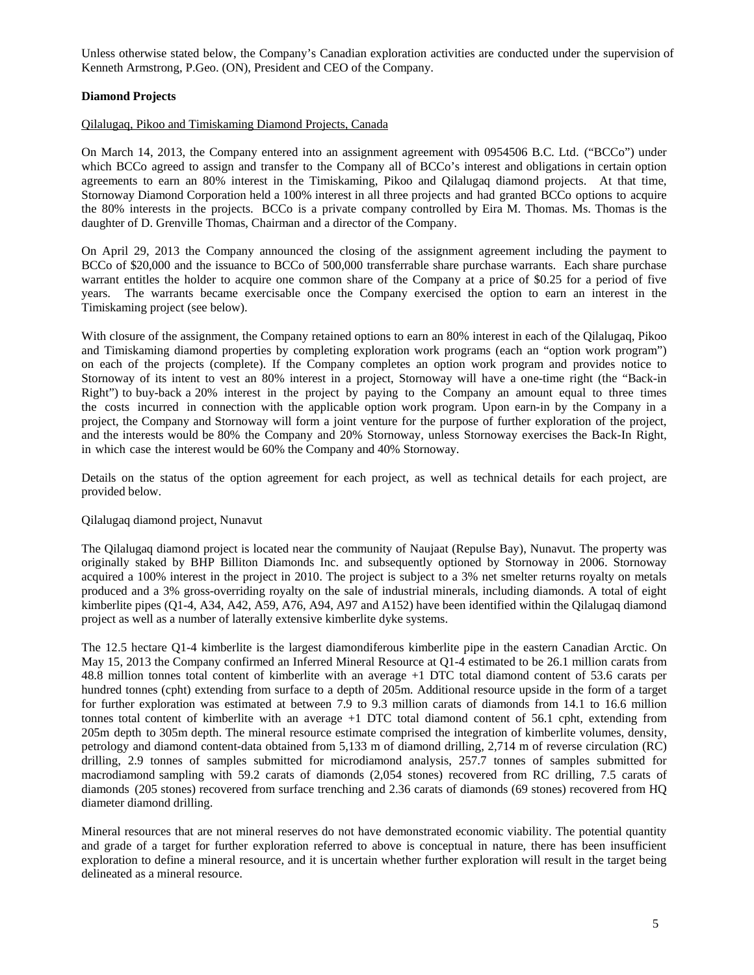Unless otherwise stated below, the Company's Canadian exploration activities are conducted under the supervision of Kenneth Armstrong, P.Geo. (ON), President and CEO of the Company.

# **Diamond Projects**

# Qilalugaq, Pikoo and Timiskaming Diamond Projects, Canada

On March 14, 2013, the Company entered into an assignment agreement with 0954506 B.C. Ltd. ("BCCo") under which BCCo agreed to assign and transfer to the Company all of BCCo's interest and obligations in certain option agreements to earn an 80% interest in the Timiskaming, Pikoo and Qilalugaq diamond projects. At that time, Stornoway Diamond Corporation held a 100% interest in all three projects and had granted BCCo options to acquire the 80% interests in the projects. BCCo is a private company controlled by Eira M. Thomas. Ms. Thomas is the daughter of D. Grenville Thomas, Chairman and a director of the Company.

On April 29, 2013 the Company announced the closing of the assignment agreement including the payment to BCCo of \$20,000 and the issuance to BCCo of 500,000 transferrable share purchase warrants. Each share purchase warrant entitles the holder to acquire one common share of the Company at a price of \$0.25 for a period of five years. The warrants became exercisable once the Company exercised the option to earn an interest in the Timiskaming project (see below).

With closure of the assignment, the Company retained options to earn an 80% interest in each of the Qilalugaq, Pikoo and Timiskaming diamond properties by completing exploration work programs (each an "option work program") on each of the projects (complete). If the Company completes an option work program and provides notice to Stornoway of its intent to vest an 80% interest in a project, Stornoway will have a one-time right (the "Back-in Right") to buy-back a 20% interest in the project by paying to the Company an amount equal to three times the costs incurred in connection with the applicable option work program. Upon earn-in by the Company in a project, the Company and Stornoway will form a joint venture for the purpose of further exploration of the project, and the interests would be 80% the Company and 20% Stornoway, unless Stornoway exercises the Back-In Right, in which case the interest would be 60% the Company and 40% Stornoway.

Details on the status of the option agreement for each project, as well as technical details for each project, are provided below.

# Qilalugaq diamond project, Nunavut

The Qilalugaq diamond project is located near the community of Naujaat (Repulse Bay), Nunavut. The property was originally staked by BHP Billiton Diamonds Inc. and subsequently optioned by Stornoway in 2006. Stornoway acquired a 100% interest in the project in 2010. The project is subject to a 3% net smelter returns royalty on metals produced and a 3% gross-overriding royalty on the sale of industrial minerals, including diamonds. A total of eight kimberlite pipes (Q1-4, A34, A42, A59, A76, A94, A97 and A152) have been identified within the Qilalugaq diamond project as well as a number of laterally extensive kimberlite dyke systems.

The 12.5 hectare Q1-4 kimberlite is the largest diamondiferous kimberlite pipe in the eastern Canadian Arctic. On May 15, 2013 the Company confirmed an Inferred Mineral Resource at Q1-4 estimated to be 26.1 million carats from 48.8 million tonnes total content of kimberlite with an average +1 DTC total diamond content of 53.6 carats per hundred tonnes (cpht) extending from surface to a depth of 205m. Additional resource upside in the form of a target for further exploration was estimated at between 7.9 to 9.3 million carats of diamonds from 14.1 to 16.6 million tonnes total content of kimberlite with an average +1 DTC total diamond content of 56.1 cpht, extending from 205m depth to 305m depth. The mineral resource estimate comprised the integration of kimberlite volumes, density, petrology and diamond content-data obtained from 5,133 m of diamond drilling, 2,714 m of reverse circulation (RC) drilling, 2.9 tonnes of samples submitted for microdiamond analysis, 257.7 tonnes of samples submitted for macrodiamond sampling with 59.2 carats of diamonds (2,054 stones) recovered from RC drilling, 7.5 carats of diamonds (205 stones) recovered from surface trenching and 2.36 carats of diamonds (69 stones) recovered from HQ diameter diamond drilling.

Mineral resources that are not mineral reserves do not have demonstrated economic viability. The potential quantity and grade of a target for further exploration referred to above is conceptual in nature, there has been insufficient exploration to define a mineral resource, and it is uncertain whether further exploration will result in the target being delineated as a mineral resource.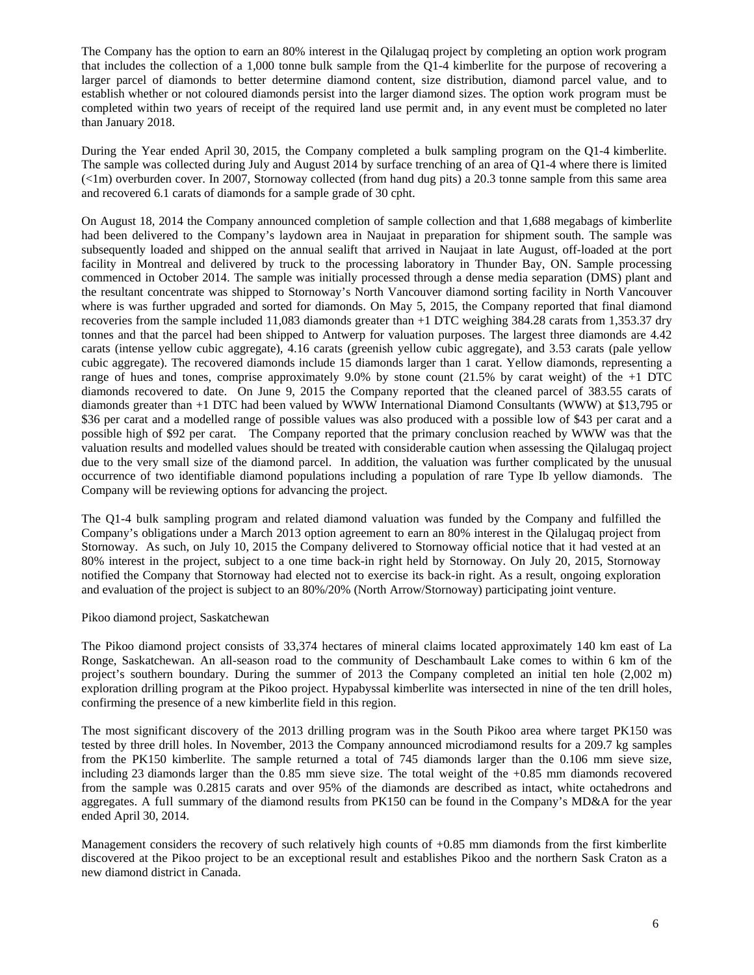The Company has the option to earn an 80% interest in the Qilalugaq project by completing an option work program that includes the collection of a 1,000 tonne bulk sample from the Q1-4 kimberlite for the purpose of recovering a larger parcel of diamonds to better determine diamond content, size distribution, diamond parcel value, and to establish whether or not coloured diamonds persist into the larger diamond sizes. The option work program must be completed within two years of receipt of the required land use permit and, in any event must be completed no later than January 2018.

During the Year ended April 30, 2015, the Company completed a bulk sampling program on the Q1-4 kimberlite. The sample was collected during July and August 2014 by surface trenching of an area of Q1-4 where there is limited  $(\langle 1m \rangle)$  overburden cover. In 2007, Stornoway collected (from hand dug pits) a 20.3 tonne sample from this same area and recovered 6.1 carats of diamonds for a sample grade of 30 cpht.

On August 18, 2014 the Company announced completion of sample collection and that 1,688 megabags of kimberlite had been delivered to the Company's laydown area in Naujaat in preparation for shipment south. The sample was subsequently loaded and shipped on the annual sealift that arrived in Naujaat in late August, off-loaded at the port facility in Montreal and delivered by truck to the processing laboratory in Thunder Bay, ON. Sample processing commenced in October 2014. The sample was initially processed through a dense media separation (DMS) plant and the resultant concentrate was shipped to Stornoway's North Vancouver diamond sorting facility in North Vancouver where is was further upgraded and sorted for diamonds. On May 5, 2015, the Company reported that final diamond recoveries from the sample included 11,083 diamonds greater than +1 DTC weighing 384.28 carats from 1,353.37 dry tonnes and that the parcel had been shipped to Antwerp for valuation purposes. The largest three diamonds are 4.42 carats (intense yellow cubic aggregate), 4.16 carats (greenish yellow cubic aggregate), and 3.53 carats (pale yellow cubic aggregate). The recovered diamonds include 15 diamonds larger than 1 carat. Yellow diamonds, representing a range of hues and tones, comprise approximately 9.0% by stone count (21.5% by carat weight) of the +1 DTC diamonds recovered to date. On June 9, 2015 the Company reported that the cleaned parcel of 383.55 carats of diamonds greater than +1 DTC had been valued by WWW International Diamond Consultants (WWW) at \$13,795 or \$36 per carat and a modelled range of possible values was also produced with a possible low of \$43 per carat and a possible high of \$92 per carat. The Company reported that the primary conclusion reached by WWW was that the valuation results and modelled values should be treated with considerable caution when assessing the Qilalugaq project due to the very small size of the diamond parcel. In addition, the valuation was further complicated by the unusual occurrence of two identifiable diamond populations including a population of rare Type Ib yellow diamonds. The Company will be reviewing options for advancing the project.

The Q1-4 bulk sampling program and related diamond valuation was funded by the Company and fulfilled the Company's obligations under a March 2013 option agreement to earn an 80% interest in the Qilalugaq project from Stornoway. As such, on July 10, 2015 the Company delivered to Stornoway official notice that it had vested at an 80% interest in the project, subject to a one time back-in right held by Stornoway. On July 20, 2015, Stornoway notified the Company that Stornoway had elected not to exercise its back-in right. As a result, ongoing exploration and evaluation of the project is subject to an 80%/20% (North Arrow/Stornoway) participating joint venture.

#### Pikoo diamond project, Saskatchewan

The Pikoo diamond project consists of 33,374 hectares of mineral claims located approximately 140 km east of La Ronge, Saskatchewan. An all-season road to the community of Deschambault Lake comes to within 6 km of the project's southern boundary. During the summer of 2013 the Company completed an initial ten hole (2,002 m) exploration drilling program at the Pikoo project. Hypabyssal kimberlite was intersected in nine of the ten drill holes, confirming the presence of a new kimberlite field in this region.

The most significant discovery of the 2013 drilling program was in the South Pikoo area where target PK150 was tested by three drill holes. In November, 2013 the Company announced microdiamond results for a 209.7 kg samples from the PK150 kimberlite. The sample returned a total of 745 diamonds larger than the 0.106 mm sieve size, including 23 diamonds larger than the 0.85 mm sieve size. The total weight of the +0.85 mm diamonds recovered from the sample was 0.2815 carats and over 95% of the diamonds are described as intact, white octahedrons and aggregates. A full summary of the diamond results from PK150 can be found in the Company's MD&A for the year ended April 30, 2014.

Management considers the recovery of such relatively high counts of +0.85 mm diamonds from the first kimberlite discovered at the Pikoo project to be an exceptional result and establishes Pikoo and the northern Sask Craton as a new diamond district in Canada.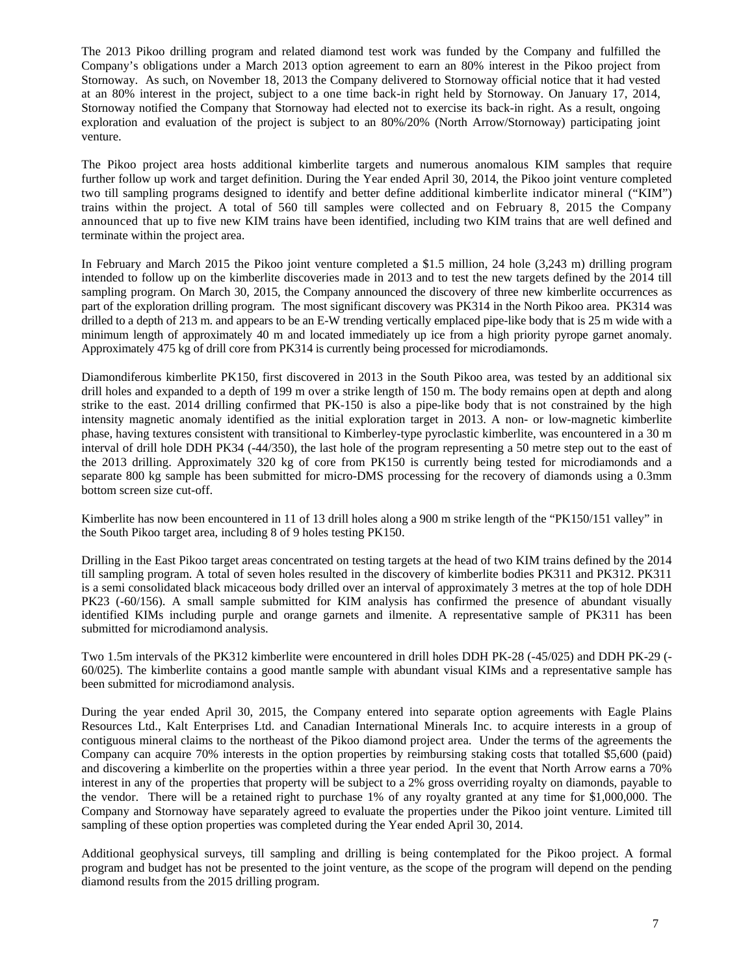The 2013 Pikoo drilling program and related diamond test work was funded by the Company and fulfilled the Company's obligations under a March 2013 option agreement to earn an 80% interest in the Pikoo project from Stornoway. As such, on November 18, 2013 the Company delivered to Stornoway official notice that it had vested at an 80% interest in the project, subject to a one time back-in right held by Stornoway. On January 17, 2014, Stornoway notified the Company that Stornoway had elected not to exercise its back-in right. As a result, ongoing exploration and evaluation of the project is subject to an 80%/20% (North Arrow/Stornoway) participating joint venture.

The Pikoo project area hosts additional kimberlite targets and numerous anomalous KIM samples that require further follow up work and target definition. During the Year ended April 30, 2014, the Pikoo joint venture completed two till sampling programs designed to identify and better define additional kimberlite indicator mineral ("KIM") trains within the project. A total of 560 till samples were collected and on February 8, 2015 the Company announced that up to five new KIM trains have been identified, including two KIM trains that are well defined and terminate within the project area.

In February and March 2015 the Pikoo joint venture completed a \$1.5 million, 24 hole (3,243 m) drilling program intended to follow up on the kimberlite discoveries made in 2013 and to test the new targets defined by the 2014 till sampling program. On March 30, 2015, the Company announced the discovery of three new kimberlite occurrences as part of the exploration drilling program. The most significant discovery was PK314 in the North Pikoo area. PK314 was drilled to a depth of 213 m. and appears to be an E-W trending vertically emplaced pipe-like body that is 25 m wide with a minimum length of approximately 40 m and located immediately up ice from a high priority pyrope garnet anomaly. Approximately 475 kg of drill core from PK314 is currently being processed for microdiamonds.

Diamondiferous kimberlite PK150, first discovered in 2013 in the South Pikoo area, was tested by an additional six drill holes and expanded to a depth of 199 m over a strike length of 150 m. The body remains open at depth and along strike to the east. 2014 drilling confirmed that PK-150 is also a pipe-like body that is not constrained by the high intensity magnetic anomaly identified as the initial exploration target in 2013. A non- or low-magnetic kimberlite phase, having textures consistent with transitional to Kimberley-type pyroclastic kimberlite, was encountered in a 30 m interval of drill hole DDH PK34 (-44/350), the last hole of the program representing a 50 metre step out to the east of the 2013 drilling. Approximately 320 kg of core from PK150 is currently being tested for microdiamonds and a separate 800 kg sample has been submitted for micro-DMS processing for the recovery of diamonds using a 0.3mm bottom screen size cut-off.

Kimberlite has now been encountered in 11 of 13 drill holes along a 900 m strike length of the "PK150/151 valley" in the South Pikoo target area, including 8 of 9 holes testing PK150.

Drilling in the East Pikoo target areas concentrated on testing targets at the head of two KIM trains defined by the 2014 till sampling program. A total of seven holes resulted in the discovery of kimberlite bodies PK311 and PK312. PK311 is a semi consolidated black micaceous body drilled over an interval of approximately 3 metres at the top of hole DDH PK23 (-60/156). A small sample submitted for KIM analysis has confirmed the presence of abundant visually identified KIMs including purple and orange garnets and ilmenite. A representative sample of PK311 has been submitted for microdiamond analysis.

Two 1.5m intervals of the PK312 kimberlite were encountered in drill holes DDH PK-28 (-45/025) and DDH PK-29 (- 60/025). The kimberlite contains a good mantle sample with abundant visual KIMs and a representative sample has been submitted for microdiamond analysis.

During the year ended April 30, 2015, the Company entered into separate option agreements with Eagle Plains Resources Ltd., Kalt Enterprises Ltd. and Canadian International Minerals Inc. to acquire interests in a group of contiguous mineral claims to the northeast of the Pikoo diamond project area. Under the terms of the agreements the Company can acquire 70% interests in the option properties by reimbursing staking costs that totalled \$5,600 (paid) and discovering a kimberlite on the properties within a three year period. In the event that North Arrow earns a 70% interest in any of the properties that property will be subject to a 2% gross overriding royalty on diamonds, payable to the vendor. There will be a retained right to purchase 1% of any royalty granted at any time for \$1,000,000. The Company and Stornoway have separately agreed to evaluate the properties under the Pikoo joint venture. Limited till sampling of these option properties was completed during the Year ended April 30, 2014.

Additional geophysical surveys, till sampling and drilling is being contemplated for the Pikoo project. A formal program and budget has not be presented to the joint venture, as the scope of the program will depend on the pending diamond results from the 2015 drilling program.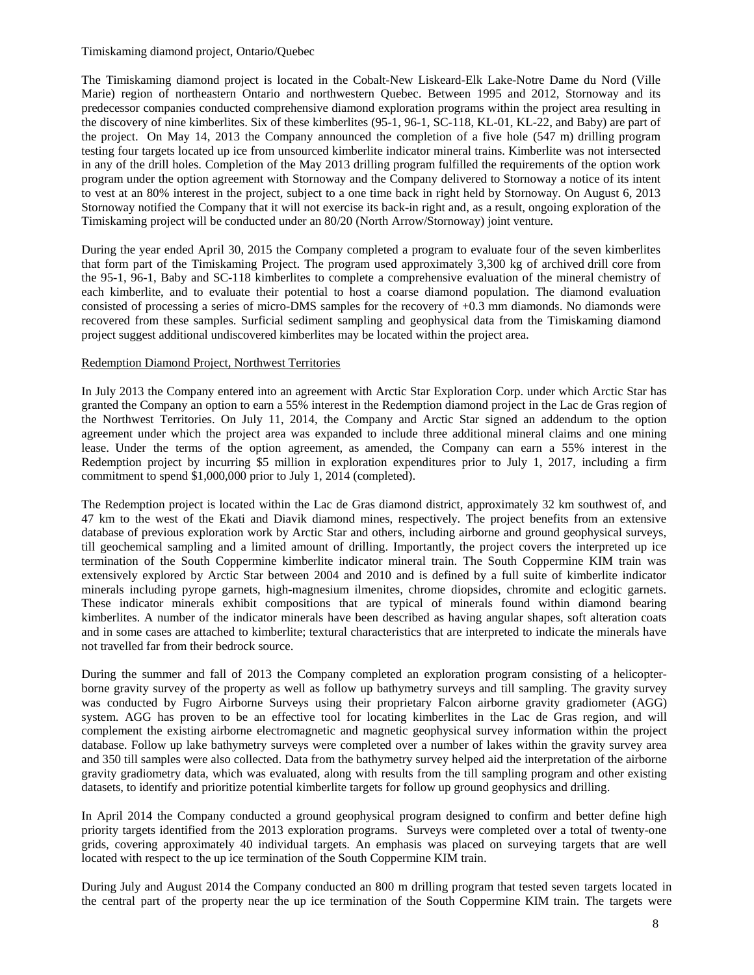Timiskaming diamond project, Ontario/Quebec

The Timiskaming diamond project is located in the Cobalt-New Liskeard-Elk Lake-Notre Dame du Nord (Ville Marie) region of northeastern Ontario and northwestern Quebec. Between 1995 and 2012, Stornoway and its predecessor companies conducted comprehensive diamond exploration programs within the project area resulting in the discovery of nine kimberlites. Six of these kimberlites (95-1, 96-1, SC-118, KL-01, KL-22, and Baby) are part of the project. On May 14, 2013 the Company announced the completion of a five hole (547 m) drilling program testing four targets located up ice from unsourced kimberlite indicator mineral trains. Kimberlite was not intersected in any of the drill holes. Completion of the May 2013 drilling program fulfilled the requirements of the option work program under the option agreement with Stornoway and the Company delivered to Stornoway a notice of its intent to vest at an 80% interest in the project, subject to a one time back in right held by Stornoway. On August 6, 2013 Stornoway notified the Company that it will not exercise its back-in right and, as a result, ongoing exploration of the Timiskaming project will be conducted under an 80/20 (North Arrow/Stornoway) joint venture.

During the year ended April 30, 2015 the Company completed a program to evaluate four of the seven kimberlites that form part of the Timiskaming Project. The program used approximately 3,300 kg of archived drill core from the 95-1, 96-1, Baby and SC-118 kimberlites to complete a comprehensive evaluation of the mineral chemistry of each kimberlite, and to evaluate their potential to host a coarse diamond population. The diamond evaluation consisted of processing a series of micro-DMS samples for the recovery of +0.3 mm diamonds. No diamonds were recovered from these samples. Surficial sediment sampling and geophysical data from the Timiskaming diamond project suggest additional undiscovered kimberlites may be located within the project area.

# Redemption Diamond Project, Northwest Territories

In July 2013 the Company entered into an agreement with Arctic Star Exploration Corp. under which Arctic Star has granted the Company an option to earn a 55% interest in the Redemption diamond project in the Lac de Gras region of the Northwest Territories. On July 11, 2014, the Company and Arctic Star signed an addendum to the option agreement under which the project area was expanded to include three additional mineral claims and one mining lease. Under the terms of the option agreement, as amended, the Company can earn a 55% interest in the Redemption project by incurring \$5 million in exploration expenditures prior to July 1, 2017, including a firm commitment to spend \$1,000,000 prior to July 1, 2014 (completed).

The Redemption project is located within the Lac de Gras diamond district, approximately 32 km southwest of, and 47 km to the west of the Ekati and Diavik diamond mines, respectively. The project benefits from an extensive database of previous exploration work by Arctic Star and others, including airborne and ground geophysical surveys, till geochemical sampling and a limited amount of drilling. Importantly, the project covers the interpreted up ice termination of the South Coppermine kimberlite indicator mineral train. The South Coppermine KIM train was extensively explored by Arctic Star between 2004 and 2010 and is defined by a full suite of kimberlite indicator minerals including pyrope garnets, high-magnesium ilmenites, chrome diopsides, chromite and eclogitic garnets. These indicator minerals exhibit compositions that are typical of minerals found within diamond bearing kimberlites. A number of the indicator minerals have been described as having angular shapes, soft alteration coats and in some cases are attached to kimberlite; textural characteristics that are interpreted to indicate the minerals have not travelled far from their bedrock source.

During the summer and fall of 2013 the Company completed an exploration program consisting of a helicopterborne gravity survey of the property as well as follow up bathymetry surveys and till sampling. The gravity survey was conducted by Fugro Airborne Surveys using their proprietary Falcon airborne gravity gradiometer (AGG) system. AGG has proven to be an effective tool for locating kimberlites in the Lac de Gras region, and will complement the existing airborne electromagnetic and magnetic geophysical survey information within the project database. Follow up lake bathymetry surveys were completed over a number of lakes within the gravity survey area and 350 till samples were also collected. Data from the bathymetry survey helped aid the interpretation of the airborne gravity gradiometry data, which was evaluated, along with results from the till sampling program and other existing datasets, to identify and prioritize potential kimberlite targets for follow up ground geophysics and drilling.

In April 2014 the Company conducted a ground geophysical program designed to confirm and better define high priority targets identified from the 2013 exploration programs. Surveys were completed over a total of twenty-one grids, covering approximately 40 individual targets. An emphasis was placed on surveying targets that are well located with respect to the up ice termination of the South Coppermine KIM train.

During July and August 2014 the Company conducted an 800 m drilling program that tested seven targets located in the central part of the property near the up ice termination of the South Coppermine KIM train. The targets were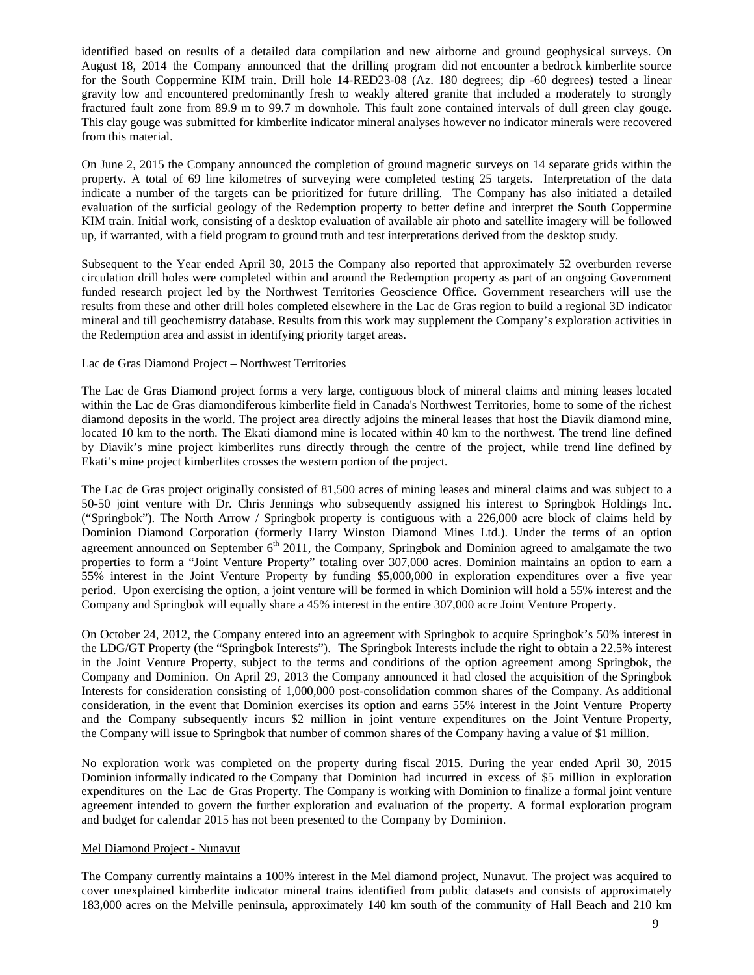identified based on results of a detailed data compilation and new airborne and ground geophysical surveys. On August 18, 2014 the Company announced that the drilling program did not encounter a bedrock kimberlite source for the South Coppermine KIM train. Drill hole 14-RED23-08 (Az. 180 degrees; dip -60 degrees) tested a linear gravity low and encountered predominantly fresh to weakly altered granite that included a moderately to strongly fractured fault zone from 89.9 m to 99.7 m downhole. This fault zone contained intervals of dull green clay gouge. This clay gouge was submitted for kimberlite indicator mineral analyses however no indicator minerals were recovered from this material.

On June 2, 2015 the Company announced the completion of ground magnetic surveys on 14 separate grids within the property. A total of 69 line kilometres of surveying were completed testing 25 targets. Interpretation of the data indicate a number of the targets can be prioritized for future drilling. The Company has also initiated a detailed evaluation of the surficial geology of the Redemption property to better define and interpret the South Coppermine KIM train. Initial work, consisting of a desktop evaluation of available air photo and satellite imagery will be followed up, if warranted, with a field program to ground truth and test interpretations derived from the desktop study.

Subsequent to the Year ended April 30, 2015 the Company also reported that approximately 52 overburden reverse circulation drill holes were completed within and around the Redemption property as part of an ongoing Government funded research project led by the Northwest Territories Geoscience Office. Government researchers will use the results from these and other drill holes completed elsewhere in the Lac de Gras region to build a regional 3D indicator mineral and till geochemistry database. Results from this work may supplement the Company's exploration activities in the Redemption area and assist in identifying priority target areas.

# Lac de Gras Diamond Project – Northwest Territories

The Lac de Gras Diamond project forms a very large, contiguous block of mineral claims and mining leases located within the Lac de Gras diamondiferous kimberlite field in Canada's Northwest Territories, home to some of the richest diamond deposits in the world. The project area directly adjoins the mineral leases that host the Diavik diamond mine, located 10 km to the north. The Ekati diamond mine is located within 40 km to the northwest. The trend line defined by Diavik's mine project kimberlites runs directly through the centre of the project, while trend line defined by Ekati's mine project kimberlites crosses the western portion of the project.

The Lac de Gras project originally consisted of 81,500 acres of mining leases and mineral claims and was subject to a 50-50 joint venture with Dr. Chris Jennings who subsequently assigned his interest to Springbok Holdings Inc. ("Springbok"). The North Arrow / Springbok property is contiguous with a 226,000 acre block of claims held by Dominion Diamond Corporation (formerly Harry Winston Diamond Mines Ltd.). Under the terms of an option agreement announced on September  $6<sup>th</sup>$  2011, the Company, Springbok and Dominion agreed to amalgamate the two properties to form a "Joint Venture Property" totaling over 307,000 acres. Dominion maintains an option to earn a 55% interest in the Joint Venture Property by funding \$5,000,000 in exploration expenditures over a five year period. Upon exercising the option, a joint venture will be formed in which Dominion will hold a 55% interest and the Company and Springbok will equally share a 45% interest in the entire 307,000 acre Joint Venture Property.

On October 24, 2012, the Company entered into an agreement with Springbok to acquire Springbok's 50% interest in the LDG/GT Property (the "Springbok Interests"). The Springbok Interests include the right to obtain a 22.5% interest in the Joint Venture Property, subject to the terms and conditions of the option agreement among Springbok, the Company and Dominion. On April 29, 2013 the Company announced it had closed the acquisition of the Springbok Interests for consideration consisting of 1,000,000 post-consolidation common shares of the Company. As additional consideration, in the event that Dominion exercises its option and earns 55% interest in the Joint Venture Property and the Company subsequently incurs \$2 million in joint venture expenditures on the Joint Venture Property, the Company will issue to Springbok that number of common shares of the Company having a value of \$1 million.

No exploration work was completed on the property during fiscal 2015. During the year ended April 30, 2015 Dominion informally indicated to the Company that Dominion had incurred in excess of \$5 million in exploration expenditures on the Lac de Gras Property. The Company is working with Dominion to finalize a formal joint venture agreement intended to govern the further exploration and evaluation of the property. A formal exploration program and budget for calendar 2015 has not been presented to the Company by Dominion.

#### Mel Diamond Project - Nunavut

The Company currently maintains a 100% interest in the Mel diamond project, Nunavut. The project was acquired to cover unexplained kimberlite indicator mineral trains identified from public datasets and consists of approximately 183,000 acres on the Melville peninsula, approximately 140 km south of the community of Hall Beach and 210 km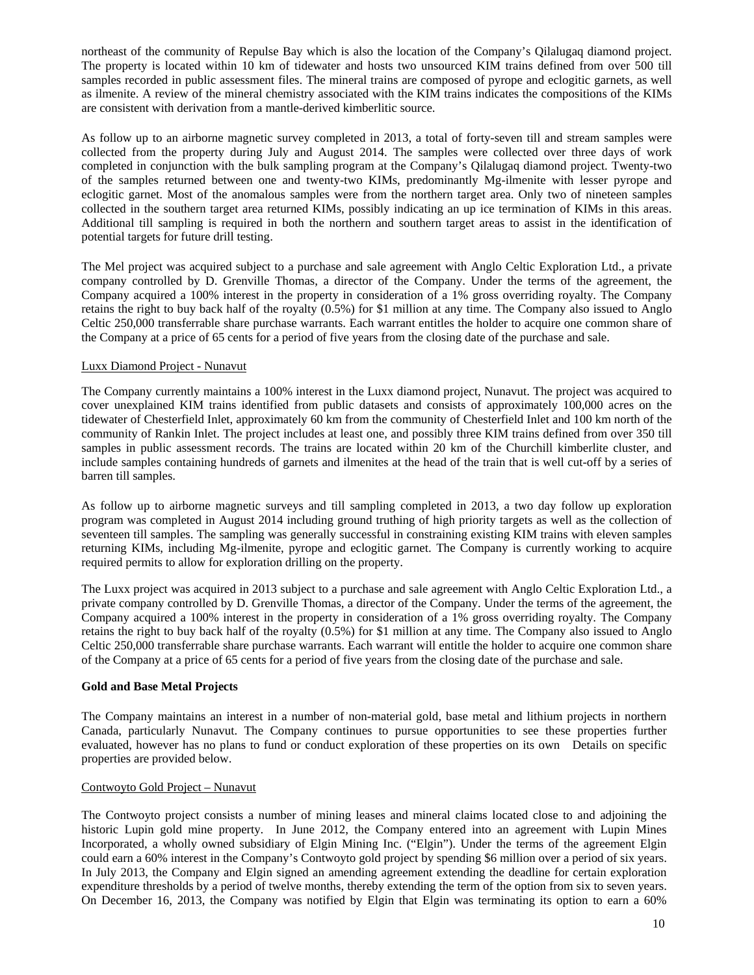northeast of the community of Repulse Bay which is also the location of the Company's Qilalugaq diamond project. The property is located within 10 km of tidewater and hosts two unsourced KIM trains defined from over 500 till samples recorded in public assessment files. The mineral trains are composed of pyrope and eclogitic garnets, as well as ilmenite. A review of the mineral chemistry associated with the KIM trains indicates the compositions of the KIMs are consistent with derivation from a mantle-derived kimberlitic source.

As follow up to an airborne magnetic survey completed in 2013, a total of forty-seven till and stream samples were collected from the property during July and August 2014. The samples were collected over three days of work completed in conjunction with the bulk sampling program at the Company's Qilalugaq diamond project. Twenty-two of the samples returned between one and twenty-two KIMs, predominantly Mg-ilmenite with lesser pyrope and eclogitic garnet. Most of the anomalous samples were from the northern target area. Only two of nineteen samples collected in the southern target area returned KIMs, possibly indicating an up ice termination of KIMs in this areas. Additional till sampling is required in both the northern and southern target areas to assist in the identification of potential targets for future drill testing.

The Mel project was acquired subject to a purchase and sale agreement with Anglo Celtic Exploration Ltd., a private company controlled by D. Grenville Thomas, a director of the Company. Under the terms of the agreement, the Company acquired a 100% interest in the property in consideration of a 1% gross overriding royalty. The Company retains the right to buy back half of the royalty (0.5%) for \$1 million at any time. The Company also issued to Anglo Celtic 250,000 transferrable share purchase warrants. Each warrant entitles the holder to acquire one common share of the Company at a price of 65 cents for a period of five years from the closing date of the purchase and sale.

# Luxx Diamond Project - Nunavut

The Company currently maintains a 100% interest in the Luxx diamond project, Nunavut. The project was acquired to cover unexplained KIM trains identified from public datasets and consists of approximately 100,000 acres on the tidewater of Chesterfield Inlet, approximately 60 km from the community of Chesterfield Inlet and 100 km north of the community of Rankin Inlet. The project includes at least one, and possibly three KIM trains defined from over 350 till samples in public assessment records. The trains are located within 20 km of the Churchill kimberlite cluster, and include samples containing hundreds of garnets and ilmenites at the head of the train that is well cut-off by a series of barren till samples.

As follow up to airborne magnetic surveys and till sampling completed in 2013, a two day follow up exploration program was completed in August 2014 including ground truthing of high priority targets as well as the collection of seventeen till samples. The sampling was generally successful in constraining existing KIM trains with eleven samples returning KIMs, including Mg-ilmenite, pyrope and eclogitic garnet. The Company is currently working to acquire required permits to allow for exploration drilling on the property.

The Luxx project was acquired in 2013 subject to a purchase and sale agreement with Anglo Celtic Exploration Ltd., a private company controlled by D. Grenville Thomas, a director of the Company. Under the terms of the agreement, the Company acquired a 100% interest in the property in consideration of a 1% gross overriding royalty. The Company retains the right to buy back half of the royalty (0.5%) for \$1 million at any time. The Company also issued to Anglo Celtic 250,000 transferrable share purchase warrants. Each warrant will entitle the holder to acquire one common share of the Company at a price of 65 cents for a period of five years from the closing date of the purchase and sale.

# **Gold and Base Metal Projects**

The Company maintains an interest in a number of non-material gold, base metal and lithium projects in northern Canada, particularly Nunavut. The Company continues to pursue opportunities to see these properties further evaluated, however has no plans to fund or conduct exploration of these properties on its own Details on specific properties are provided below.

#### Contwoyto Gold Project – Nunavut

The Contwoyto project consists a number of mining leases and mineral claims located close to and adjoining the historic Lupin gold mine property. In June 2012, the Company entered into an agreement with Lupin Mines Incorporated, a wholly owned subsidiary of Elgin Mining Inc. ("Elgin"). Under the terms of the agreement Elgin could earn a 60% interest in the Company's Contwoyto gold project by spending \$6 million over a period of six years. In July 2013, the Company and Elgin signed an amending agreement extending the deadline for certain exploration expenditure thresholds by a period of twelve months, thereby extending the term of the option from six to seven years. On December 16, 2013, the Company was notified by Elgin that Elgin was terminating its option to earn a 60%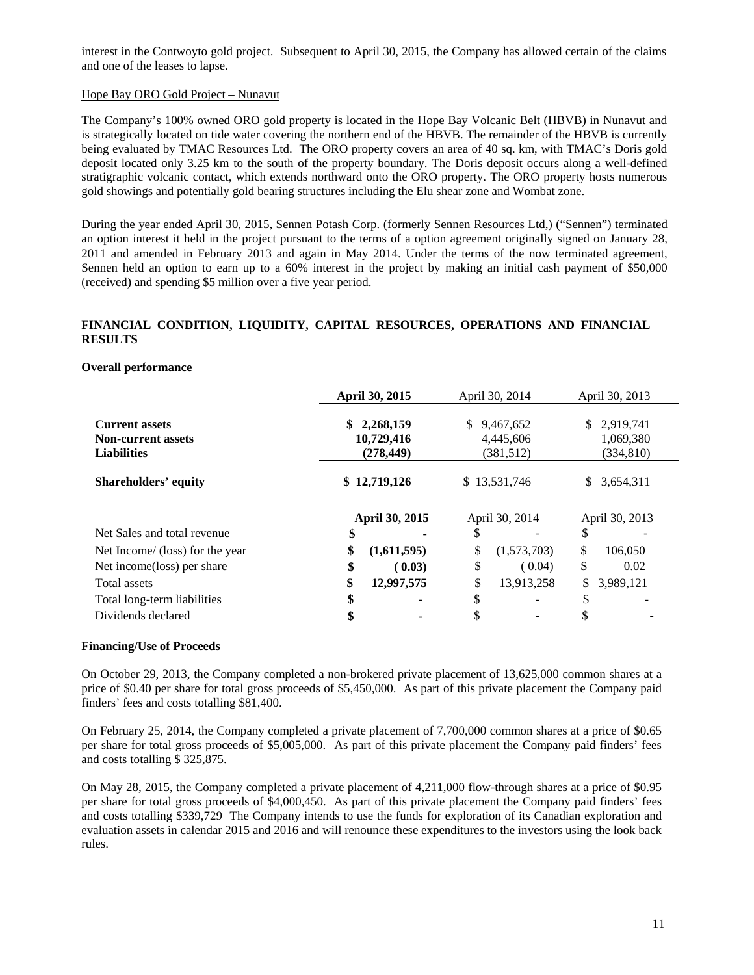interest in the Contwoyto gold project. Subsequent to April 30, 2015, the Company has allowed certain of the claims and one of the leases to lapse.

# Hope Bay ORO Gold Project – Nunavut

The Company's 100% owned ORO gold property is located in the Hope Bay Volcanic Belt (HBVB) in Nunavut and is strategically located on tide water covering the northern end of the HBVB. The remainder of the HBVB is currently being evaluated by TMAC Resources Ltd. The ORO property covers an area of 40 sq. km, with TMAC's Doris gold deposit located only 3.25 km to the south of the property boundary. The Doris deposit occurs along a well-defined stratigraphic volcanic contact, which extends northward onto the ORO property. The ORO property hosts numerous gold showings and potentially gold bearing structures including the Elu shear zone and Wombat zone.

During the year ended April 30, 2015, Sennen Potash Corp. (formerly Sennen Resources Ltd,) ("Sennen") terminated an option interest it held in the project pursuant to the terms of a option agreement originally signed on January 28, 2011 and amended in February 2013 and again in May 2014. Under the terms of the now terminated agreement, Sennen held an option to earn up to a 60% interest in the project by making an initial cash payment of \$50,000 (received) and spending \$5 million over a five year period.

# **FINANCIAL CONDITION, LIQUIDITY, CAPITAL RESOURCES, OPERATIONS AND FINANCIAL RESULTS**

#### **Overall performance**

|                                                                          | April 30, 2015 |                                       | April 30, 2014 |                                     | April 30, 2013 |                                      |
|--------------------------------------------------------------------------|----------------|---------------------------------------|----------------|-------------------------------------|----------------|--------------------------------------|
| <b>Current assets</b><br><b>Non-current assets</b><br><b>Liabilities</b> | \$             | 2,268,159<br>10,729,416<br>(278, 449) |                | 9,467,652<br>4,445,606<br>(381,512) | \$.            | 2,919,741<br>1,069,380<br>(334, 810) |
| <b>Shareholders' equity</b>                                              |                | \$12,719,126                          |                | \$13,531,746                        | S              | 3,654,311                            |
|                                                                          | April 30, 2015 |                                       | April 30, 2014 |                                     | April 30, 2013 |                                      |
| Net Sales and total revenue                                              |                |                                       | S              |                                     | S              |                                      |
| Net Income/ (loss) for the year                                          | \$             | (1,611,595)                           | \$             | (1,573,703)                         | \$             | 106,050                              |
| Net income (loss) per share                                              | \$             | (0.03)                                | \$             | (0.04)                              | \$             | 0.02                                 |
| Total assets                                                             | \$             | 12,997,575                            | \$             | 13,913,258                          | \$             | 3,989,121                            |
| Total long-term liabilities                                              | \$             |                                       | \$             |                                     | ¢<br>J         |                                      |
| Dividends declared                                                       | \$             |                                       |                |                                     |                |                                      |

#### **Financing/Use of Proceeds**

On October 29, 2013, the Company completed a non-brokered private placement of 13,625,000 common shares at a price of \$0.40 per share for total gross proceeds of \$5,450,000. As part of this private placement the Company paid finders' fees and costs totalling \$81,400.

On February 25, 2014, the Company completed a private placement of 7,700,000 common shares at a price of \$0.65 per share for total gross proceeds of \$5,005,000. As part of this private placement the Company paid finders' fees and costs totalling \$ 325,875.

On May 28, 2015, the Company completed a private placement of 4,211,000 flow-through shares at a price of \$0.95 per share for total gross proceeds of \$4,000,450. As part of this private placement the Company paid finders' fees and costs totalling \$339,729 The Company intends to use the funds for exploration of its Canadian exploration and evaluation assets in calendar 2015 and 2016 and will renounce these expenditures to the investors using the look back rules.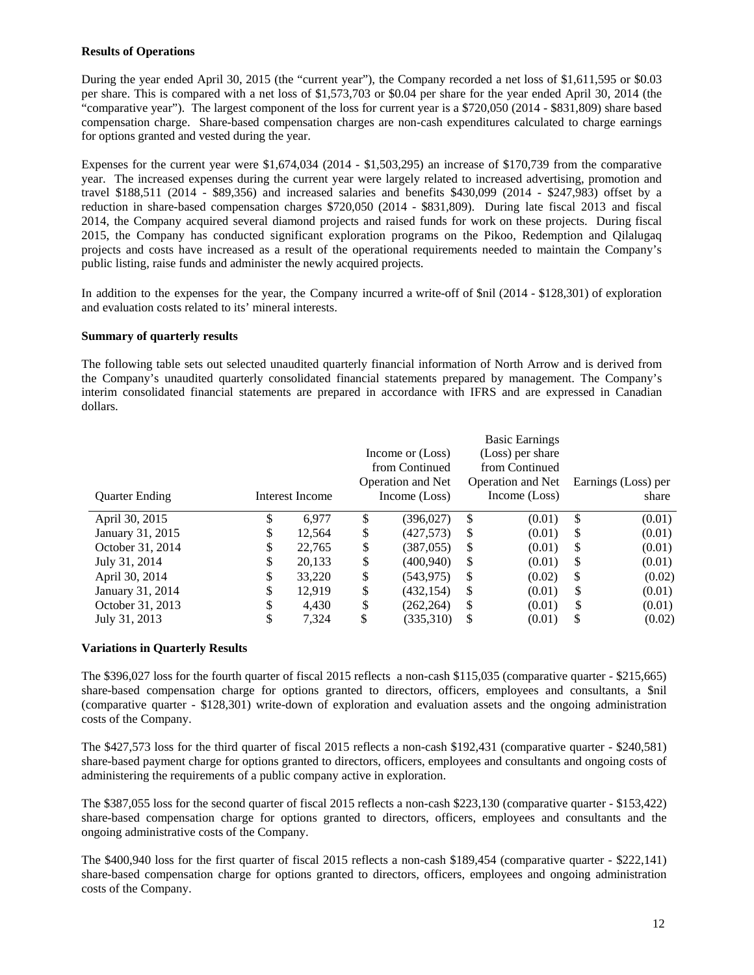# **Results of Operations**

During the year ended April 30, 2015 (the "current year"), the Company recorded a net loss of \$1,611,595 or \$0.03 per share. This is compared with a net loss of \$1,573,703 or \$0.04 per share for the year ended April 30, 2014 (the "comparative year"). The largest component of the loss for current year is a \$720,050 (2014 - \$831,809) share based compensation charge. Share-based compensation charges are non-cash expenditures calculated to charge earnings for options granted and vested during the year.

Expenses for the current year were \$1,674,034 (2014 - \$1,503,295) an increase of \$170,739 from the comparative year. The increased expenses during the current year were largely related to increased advertising, promotion and travel \$188,511 (2014 - \$89,356) and increased salaries and benefits \$430,099 (2014 - \$247,983) offset by a reduction in share-based compensation charges \$720,050 (2014 - \$831,809). During late fiscal 2013 and fiscal 2014, the Company acquired several diamond projects and raised funds for work on these projects. During fiscal 2015, the Company has conducted significant exploration programs on the Pikoo, Redemption and Qilalugaq projects and costs have increased as a result of the operational requirements needed to maintain the Company's public listing, raise funds and administer the newly acquired projects.

In addition to the expenses for the year, the Company incurred a write-off of \$nil (2014 - \$128,301) of exploration and evaluation costs related to its' mineral interests.

# **Summary of quarterly results**

The following table sets out selected unaudited quarterly financial information of North Arrow and is derived from the Company's unaudited quarterly consolidated financial statements prepared by management. The Company's interim consolidated financial statements are prepared in accordance with IFRS and are expressed in Canadian dollars.

| <b>Quarter Ending</b> |    | Interest Income |    | Income or (Loss)<br>from Continued<br><b>Operation and Net</b><br>Income (Loss) |               | <b>Basic Earnings</b><br>(Loss) per share<br>from Continued<br><b>Operation and Net</b><br>Income (Loss) |               | Earnings (Loss) per<br>share |
|-----------------------|----|-----------------|----|---------------------------------------------------------------------------------|---------------|----------------------------------------------------------------------------------------------------------|---------------|------------------------------|
| April 30, 2015        | \$ | 6.977           | S  | (396.027)                                                                       | \$            | (0.01)                                                                                                   | \$            | (0.01)                       |
| January 31, 2015      | \$ | 12,564          | \$ | (427,573)                                                                       | \$.           | (0.01)                                                                                                   | \$            | (0.01)                       |
| October 31, 2014      | \$ | 22.765          | \$ | (387, 055)                                                                      | <sup>\$</sup> | (0.01)                                                                                                   | S             | (0.01)                       |
| July 31, 2014         | \$ | 20,133          | \$ | (400.940)                                                                       | \$.           | (0.01)                                                                                                   | S             | (0.01)                       |
| April 30, 2014        | \$ | 33,220          | \$ | (543, 975)                                                                      | \$            | (0.02)                                                                                                   | \$            | (0.02)                       |
| January 31, 2014      | \$ | 12.919          | \$ | (432, 154)                                                                      | \$            | (0.01)                                                                                                   | \$            | (0.01)                       |
| October 31, 2013      | S  | 4.430           | \$ | (262, 264)                                                                      | \$.           | (0.01)                                                                                                   | <sup>\$</sup> | (0.01)                       |
| July 31, 2013         |    | 7.324           | \$ | (335,310)                                                                       | S             | (0.01)                                                                                                   | \$            | (0.02)                       |

# **Variations in Quarterly Results**

The \$396,027 loss for the fourth quarter of fiscal 2015 reflects a non-cash \$115,035 (comparative quarter - \$215,665) share-based compensation charge for options granted to directors, officers, employees and consultants, a \$nil (comparative quarter - \$128,301) write-down of exploration and evaluation assets and the ongoing administration costs of the Company.

The \$427,573 loss for the third quarter of fiscal 2015 reflects a non-cash \$192,431 (comparative quarter - \$240,581) share-based payment charge for options granted to directors, officers, employees and consultants and ongoing costs of administering the requirements of a public company active in exploration.

The \$387,055 loss for the second quarter of fiscal 2015 reflects a non-cash \$223,130 (comparative quarter - \$153,422) share-based compensation charge for options granted to directors, officers, employees and consultants and the ongoing administrative costs of the Company.

The \$400,940 loss for the first quarter of fiscal 2015 reflects a non-cash \$189,454 (comparative quarter - \$222,141) share-based compensation charge for options granted to directors, officers, employees and ongoing administration costs of the Company.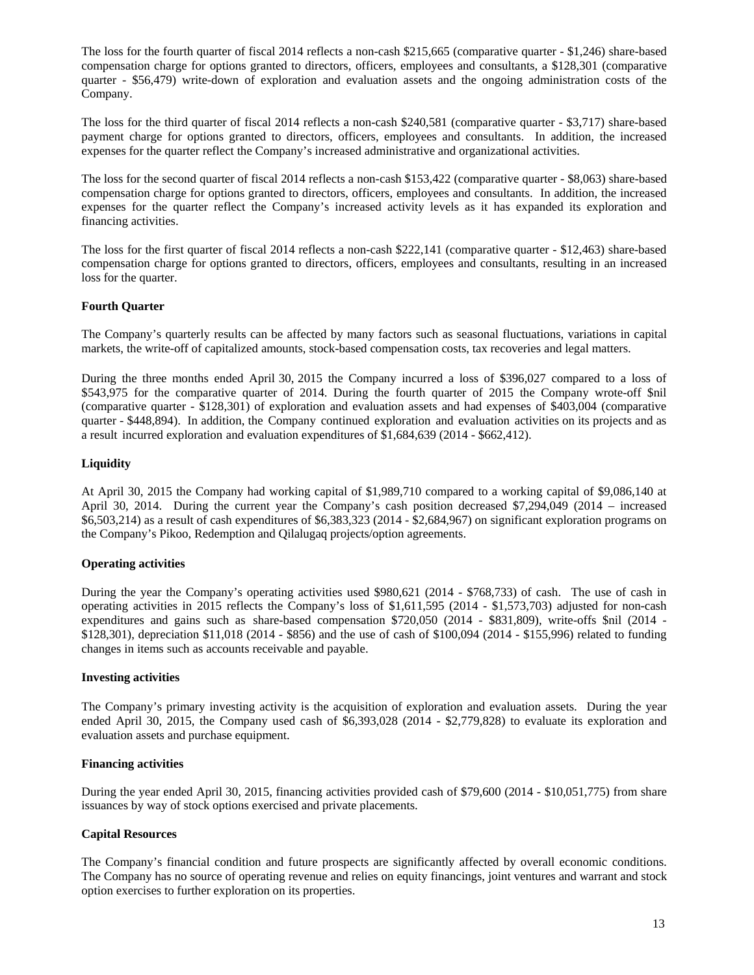The loss for the fourth quarter of fiscal 2014 reflects a non-cash \$215,665 (comparative quarter - \$1,246) share-based compensation charge for options granted to directors, officers, employees and consultants, a \$128,301 (comparative quarter - \$56,479) write-down of exploration and evaluation assets and the ongoing administration costs of the Company.

The loss for the third quarter of fiscal 2014 reflects a non-cash \$240,581 (comparative quarter - \$3,717) share-based payment charge for options granted to directors, officers, employees and consultants. In addition, the increased expenses for the quarter reflect the Company's increased administrative and organizational activities.

The loss for the second quarter of fiscal 2014 reflects a non-cash \$153,422 (comparative quarter - \$8,063) share-based compensation charge for options granted to directors, officers, employees and consultants. In addition, the increased expenses for the quarter reflect the Company's increased activity levels as it has expanded its exploration and financing activities.

The loss for the first quarter of fiscal 2014 reflects a non-cash \$222,141 (comparative quarter - \$12,463) share-based compensation charge for options granted to directors, officers, employees and consultants, resulting in an increased loss for the quarter.

# **Fourth Quarter**

The Company's quarterly results can be affected by many factors such as seasonal fluctuations, variations in capital markets, the write-off of capitalized amounts, stock-based compensation costs, tax recoveries and legal matters.

During the three months ended April 30, 2015 the Company incurred a loss of \$396,027 compared to a loss of \$543,975 for the comparative quarter of 2014. During the fourth quarter of 2015 the Company wrote-off \$nil (comparative quarter - \$128,301) of exploration and evaluation assets and had expenses of \$403,004 (comparative quarter - \$448,894). In addition, the Company continued exploration and evaluation activities on its projects and as a result incurred exploration and evaluation expenditures of \$1,684,639 (2014 - \$662,412).

# **Liquidity**

At April 30, 2015 the Company had working capital of \$1,989,710 compared to a working capital of \$9,086,140 at April 30, 2014. During the current year the Company's cash position decreased \$7,294,049 (2014 – increased \$6,503,214) as a result of cash expenditures of \$6,383,323 (2014 - \$2,684,967) on significant exploration programs on the Company's Pikoo, Redemption and Qilalugaq projects/option agreements.

# **Operating activities**

During the year the Company's operating activities used \$980,621 (2014 - \$768,733) of cash. The use of cash in operating activities in 2015 reflects the Company's loss of \$1,611,595 (2014 - \$1,573,703) adjusted for non-cash expenditures and gains such as share-based compensation \$720,050 (2014 - \$831,809), write-offs \$nil (2014 - \$128,301), depreciation \$11,018 (2014 - \$856) and the use of cash of \$100,094 (2014 - \$155,996) related to funding changes in items such as accounts receivable and payable.

#### **Investing activities**

The Company's primary investing activity is the acquisition of exploration and evaluation assets. During the year ended April 30, 2015, the Company used cash of \$6,393,028 (2014 - \$2,779,828) to evaluate its exploration and evaluation assets and purchase equipment.

#### **Financing activities**

During the year ended April 30, 2015, financing activities provided cash of \$79,600 (2014 - \$10,051,775) from share issuances by way of stock options exercised and private placements.

#### **Capital Resources**

The Company's financial condition and future prospects are significantly affected by overall economic conditions. The Company has no source of operating revenue and relies on equity financings, joint ventures and warrant and stock option exercises to further exploration on its properties.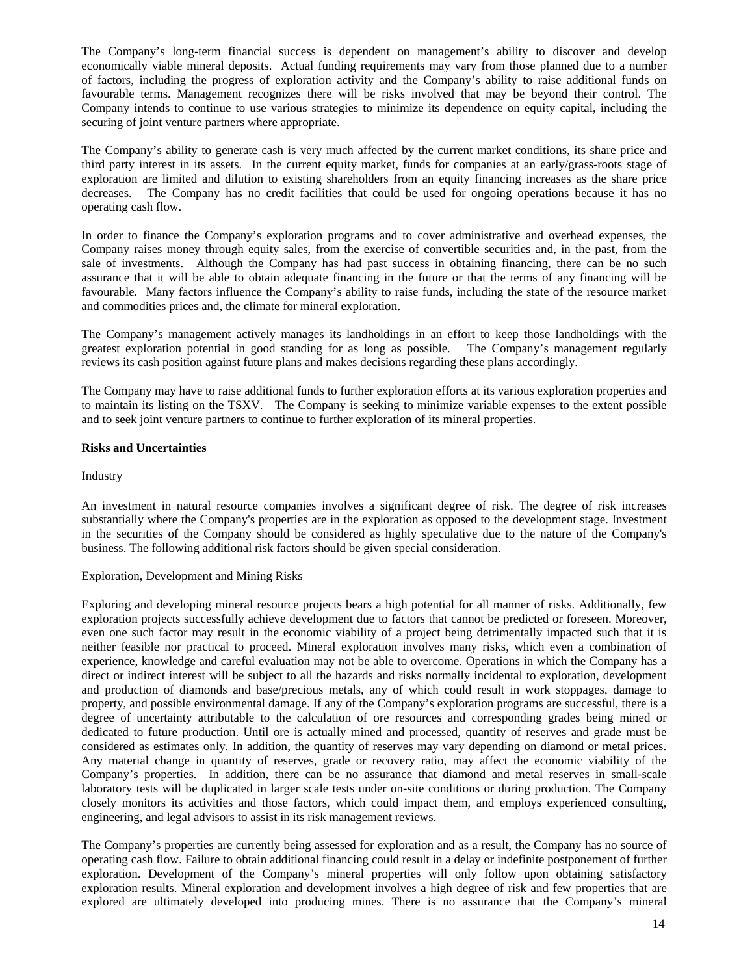The Company's long-term financial success is dependent on management's ability to discover and develop economically viable mineral deposits. Actual funding requirements may vary from those planned due to a number of factors, including the progress of exploration activity and the Company's ability to raise additional funds on favourable terms. Management recognizes there will be risks involved that may be beyond their control. The Company intends to continue to use various strategies to minimize its dependence on equity capital, including the securing of joint venture partners where appropriate.

The Company's ability to generate cash is very much affected by the current market conditions, its share price and third party interest in its assets. In the current equity market, funds for companies at an early/grass-roots stage of exploration are limited and dilution to existing shareholders from an equity financing increases as the share price decreases. The Company has no credit facilities that could be used for ongoing operations because it has no operating cash flow.

In order to finance the Company's exploration programs and to cover administrative and overhead expenses, the Company raises money through equity sales, from the exercise of convertible securities and, in the past, from the sale of investments. Although the Company has had past success in obtaining financing, there can be no such assurance that it will be able to obtain adequate financing in the future or that the terms of any financing will be favourable. Many factors influence the Company's ability to raise funds, including the state of the resource market and commodities prices and, the climate for mineral exploration.

The Company's management actively manages its landholdings in an effort to keep those landholdings with the greatest exploration potential in good standing for as long as possible. The Company's management regularly reviews its cash position against future plans and makes decisions regarding these plans accordingly.

The Company may have to raise additional funds to further exploration efforts at its various exploration properties and to maintain its listing on the TSXV. The Company is seeking to minimize variable expenses to the extent possible and to seek joint venture partners to continue to further exploration of its mineral properties.

# **Risks and Uncertainties**

#### Industry

An investment in natural resource companies involves a significant degree of risk. The degree of risk increases substantially where the Company's properties are in the exploration as opposed to the development stage. Investment in the securities of the Company should be considered as highly speculative due to the nature of the Company's business. The following additional risk factors should be given special consideration.

#### Exploration, Development and Mining Risks

Exploring and developing mineral resource projects bears a high potential for all manner of risks. Additionally, few exploration projects successfully achieve development due to factors that cannot be predicted or foreseen. Moreover, even one such factor may result in the economic viability of a project being detrimentally impacted such that it is neither feasible nor practical to proceed. Mineral exploration involves many risks, which even a combination of experience, knowledge and careful evaluation may not be able to overcome. Operations in which the Company has a direct or indirect interest will be subject to all the hazards and risks normally incidental to exploration, development and production of diamonds and base/precious metals, any of which could result in work stoppages, damage to property, and possible environmental damage. If any of the Company's exploration programs are successful, there is a degree of uncertainty attributable to the calculation of ore resources and corresponding grades being mined or dedicated to future production. Until ore is actually mined and processed, quantity of reserves and grade must be considered as estimates only. In addition, the quantity of reserves may vary depending on diamond or metal prices. Any material change in quantity of reserves, grade or recovery ratio, may affect the economic viability of the Company's properties. In addition, there can be no assurance that diamond and metal reserves in small-scale laboratory tests will be duplicated in larger scale tests under on-site conditions or during production. The Company closely monitors its activities and those factors, which could impact them, and employs experienced consulting, engineering, and legal advisors to assist in its risk management reviews.

The Company's properties are currently being assessed for exploration and as a result, the Company has no source of operating cash flow. Failure to obtain additional financing could result in a delay or indefinite postponement of further exploration. Development of the Company's mineral properties will only follow upon obtaining satisfactory exploration results. Mineral exploration and development involves a high degree of risk and few properties that are explored are ultimately developed into producing mines. There is no assurance that the Company's mineral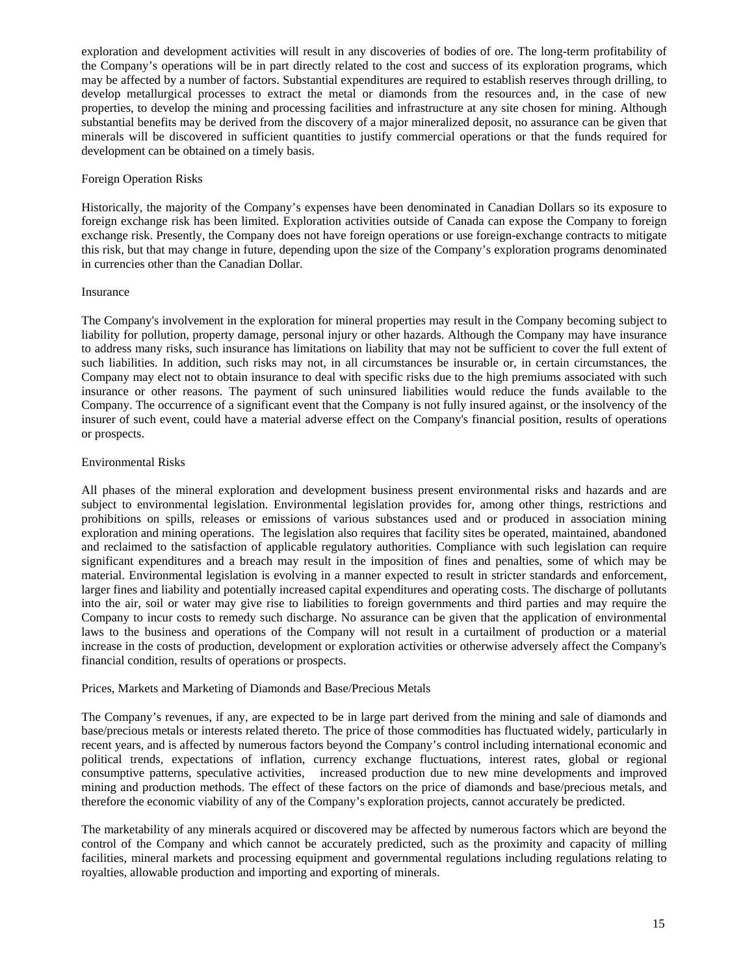exploration and development activities will result in any discoveries of bodies of ore. The long-term profitability of the Company's operations will be in part directly related to the cost and success of its exploration programs, which may be affected by a number of factors. Substantial expenditures are required to establish reserves through drilling, to develop metallurgical processes to extract the metal or diamonds from the resources and, in the case of new properties, to develop the mining and processing facilities and infrastructure at any site chosen for mining. Although substantial benefits may be derived from the discovery of a major mineralized deposit, no assurance can be given that minerals will be discovered in sufficient quantities to justify commercial operations or that the funds required for development can be obtained on a timely basis.

# Foreign Operation Risks

Historically, the majority of the Company's expenses have been denominated in Canadian Dollars so its exposure to foreign exchange risk has been limited. Exploration activities outside of Canada can expose the Company to foreign exchange risk. Presently, the Company does not have foreign operations or use foreign-exchange contracts to mitigate this risk, but that may change in future, depending upon the size of the Company's exploration programs denominated in currencies other than the Canadian Dollar.

#### Insurance

The Company's involvement in the exploration for mineral properties may result in the Company becoming subject to liability for pollution, property damage, personal injury or other hazards. Although the Company may have insurance to address many risks, such insurance has limitations on liability that may not be sufficient to cover the full extent of such liabilities. In addition, such risks may not, in all circumstances be insurable or, in certain circumstances, the Company may elect not to obtain insurance to deal with specific risks due to the high premiums associated with such insurance or other reasons. The payment of such uninsured liabilities would reduce the funds available to the Company. The occurrence of a significant event that the Company is not fully insured against, or the insolvency of the insurer of such event, could have a material adverse effect on the Company's financial position, results of operations or prospects.

# Environmental Risks

All phases of the mineral exploration and development business present environmental risks and hazards and are subject to environmental legislation. Environmental legislation provides for, among other things, restrictions and prohibitions on spills, releases or emissions of various substances used and or produced in association mining exploration and mining operations. The legislation also requires that facility sites be operated, maintained, abandoned and reclaimed to the satisfaction of applicable regulatory authorities. Compliance with such legislation can require significant expenditures and a breach may result in the imposition of fines and penalties, some of which may be material. Environmental legislation is evolving in a manner expected to result in stricter standards and enforcement, larger fines and liability and potentially increased capital expenditures and operating costs. The discharge of pollutants into the air, soil or water may give rise to liabilities to foreign governments and third parties and may require the Company to incur costs to remedy such discharge. No assurance can be given that the application of environmental laws to the business and operations of the Company will not result in a curtailment of production or a material increase in the costs of production, development or exploration activities or otherwise adversely affect the Company's financial condition, results of operations or prospects.

# Prices, Markets and Marketing of Diamonds and Base/Precious Metals

The Company's revenues, if any, are expected to be in large part derived from the mining and sale of diamonds and base/precious metals or interests related thereto. The price of those commodities has fluctuated widely, particularly in recent years, and is affected by numerous factors beyond the Company's control including international economic and political trends, expectations of inflation, currency exchange fluctuations, interest rates, global or regional consumptive patterns, speculative activities, increased production due to new mine developments and improved mining and production methods. The effect of these factors on the price of diamonds and base/precious metals, and therefore the economic viability of any of the Company's exploration projects, cannot accurately be predicted.

The marketability of any minerals acquired or discovered may be affected by numerous factors which are beyond the control of the Company and which cannot be accurately predicted, such as the proximity and capacity of milling facilities, mineral markets and processing equipment and governmental regulations including regulations relating to royalties, allowable production and importing and exporting of minerals.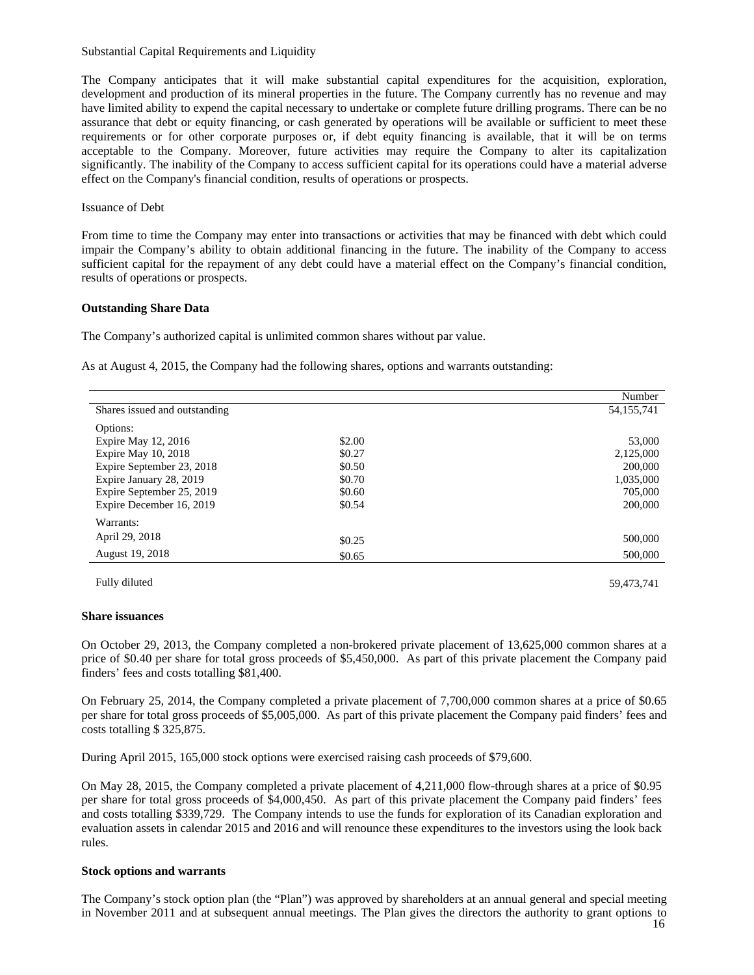#### Substantial Capital Requirements and Liquidity

The Company anticipates that it will make substantial capital expenditures for the acquisition, exploration, development and production of its mineral properties in the future. The Company currently has no revenue and may have limited ability to expend the capital necessary to undertake or complete future drilling programs. There can be no assurance that debt or equity financing, or cash generated by operations will be available or sufficient to meet these requirements or for other corporate purposes or, if debt equity financing is available, that it will be on terms acceptable to the Company. Moreover, future activities may require the Company to alter its capitalization significantly. The inability of the Company to access sufficient capital for its operations could have a material adverse effect on the Company's financial condition, results of operations or prospects.

#### Issuance of Debt

From time to time the Company may enter into transactions or activities that may be financed with debt which could impair the Company's ability to obtain additional financing in the future. The inability of the Company to access sufficient capital for the repayment of any debt could have a material effect on the Company's financial condition, results of operations or prospects.

# **Outstanding Share Data**

The Company's authorized capital is unlimited common shares without par value.

As at August 4, 2015, the Company had the following shares, options and warrants outstanding:

|                               |        | Number       |
|-------------------------------|--------|--------------|
| Shares issued and outstanding |        | 54, 155, 741 |
| Options:                      |        |              |
| Expire May 12, 2016           | \$2.00 | 53,000       |
| Expire May 10, 2018           | \$0.27 | 2,125,000    |
| Expire September 23, 2018     | \$0.50 | 200,000      |
| Expire January 28, 2019       | \$0.70 | 1,035,000    |
| Expire September 25, 2019     | \$0.60 | 705,000      |
| Expire December 16, 2019      | \$0.54 | 200,000      |
| Warrants:                     |        |              |
| April 29, 2018                | \$0.25 | 500,000      |
|                               |        |              |
| August 19, 2018               | \$0.65 | 500,000      |

Fully diluted 59,473,741

#### **Share issuances**

On October 29, 2013, the Company completed a non-brokered private placement of 13,625,000 common shares at a price of \$0.40 per share for total gross proceeds of \$5,450,000. As part of this private placement the Company paid finders' fees and costs totalling \$81,400.

On February 25, 2014, the Company completed a private placement of 7,700,000 common shares at a price of \$0.65 per share for total gross proceeds of \$5,005,000. As part of this private placement the Company paid finders' fees and costs totalling \$ 325,875.

During April 2015, 165,000 stock options were exercised raising cash proceeds of \$79,600.

On May 28, 2015, the Company completed a private placement of 4,211,000 flow-through shares at a price of \$0.95 per share for total gross proceeds of \$4,000,450. As part of this private placement the Company paid finders' fees and costs totalling \$339,729. The Company intends to use the funds for exploration of its Canadian exploration and evaluation assets in calendar 2015 and 2016 and will renounce these expenditures to the investors using the look back rules.

#### **Stock options and warrants**

The Company's stock option plan (the "Plan") was approved by shareholders at an annual general and special meeting in November 2011 and at subsequent annual meetings. The Plan gives the directors the authority to grant options to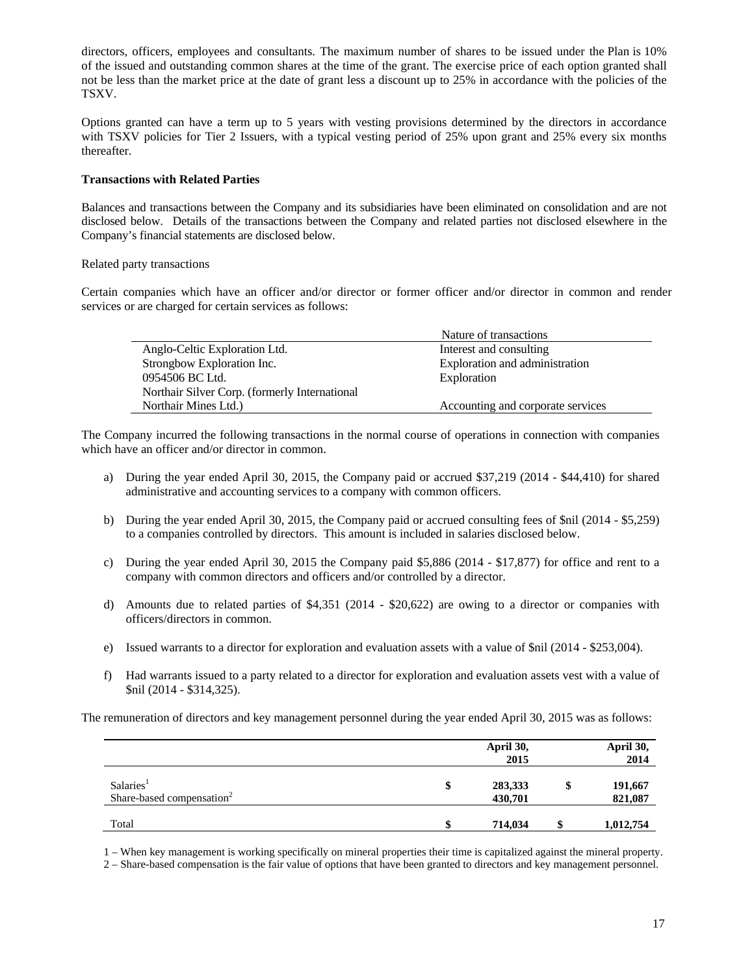directors, officers, employees and consultants. The maximum number of shares to be issued under the Plan is 10% of the issued and outstanding common shares at the time of the grant. The exercise price of each option granted shall not be less than the market price at the date of grant less a discount up to 25% in accordance with the policies of the TSXV.

Options granted can have a term up to 5 years with vesting provisions determined by the directors in accordance with TSXV policies for Tier 2 Issuers, with a typical vesting period of 25% upon grant and 25% every six months thereafter.

# **Transactions with Related Parties**

Balances and transactions between the Company and its subsidiaries have been eliminated on consolidation and are not disclosed below. Details of the transactions between the Company and related parties not disclosed elsewhere in the Company's financial statements are disclosed below.

#### Related party transactions

Certain companies which have an officer and/or director or former officer and/or director in common and render services or are charged for certain services as follows:

|                                               | Nature of transactions            |
|-----------------------------------------------|-----------------------------------|
| Anglo-Celtic Exploration Ltd.                 | Interest and consulting           |
| Strongbow Exploration Inc.                    | Exploration and administration    |
| 0954506 BC Ltd.                               | Exploration                       |
| Northair Silver Corp. (formerly International |                                   |
| Northair Mines Ltd.)                          | Accounting and corporate services |

The Company incurred the following transactions in the normal course of operations in connection with companies which have an officer and/or director in common.

- a) During the year ended April 30, 2015, the Company paid or accrued \$37,219 (2014 \$44,410) for shared administrative and accounting services to a company with common officers.
- b) During the year ended April 30, 2015, the Company paid or accrued consulting fees of \$nil (2014 \$5,259) to a companies controlled by directors. This amount is included in salaries disclosed below.
- c) During the year ended April 30, 2015 the Company paid \$5,886 (2014 \$17,877) for office and rent to a company with common directors and officers and/or controlled by a director.
- d) Amounts due to related parties of \$4,351 (2014 \$20,622) are owing to a director or companies with officers/directors in common.
- e) Issued warrants to a director for exploration and evaluation assets with a value of \$nil (2014 \$253,004).
- f) Had warrants issued to a party related to a director for exploration and evaluation assets vest with a value of \$nil (2014 - \$314,325).

The remuneration of directors and key management personnel during the year ended April 30, 2015 was as follows:

|                                                                | April 30,<br>2015        | April 30,<br>2014  |
|----------------------------------------------------------------|--------------------------|--------------------|
| Salaries <sup>1</sup><br>Share-based compensation <sup>2</sup> | \$<br>283,333<br>430,701 | 191,667<br>821,087 |
| Total                                                          | \$<br>714,034            | \$<br>1,012,754    |

1 – When key management is working specifically on mineral properties their time is capitalized against the mineral property.

2 – Share-based compensation is the fair value of options that have been granted to directors and key management personnel.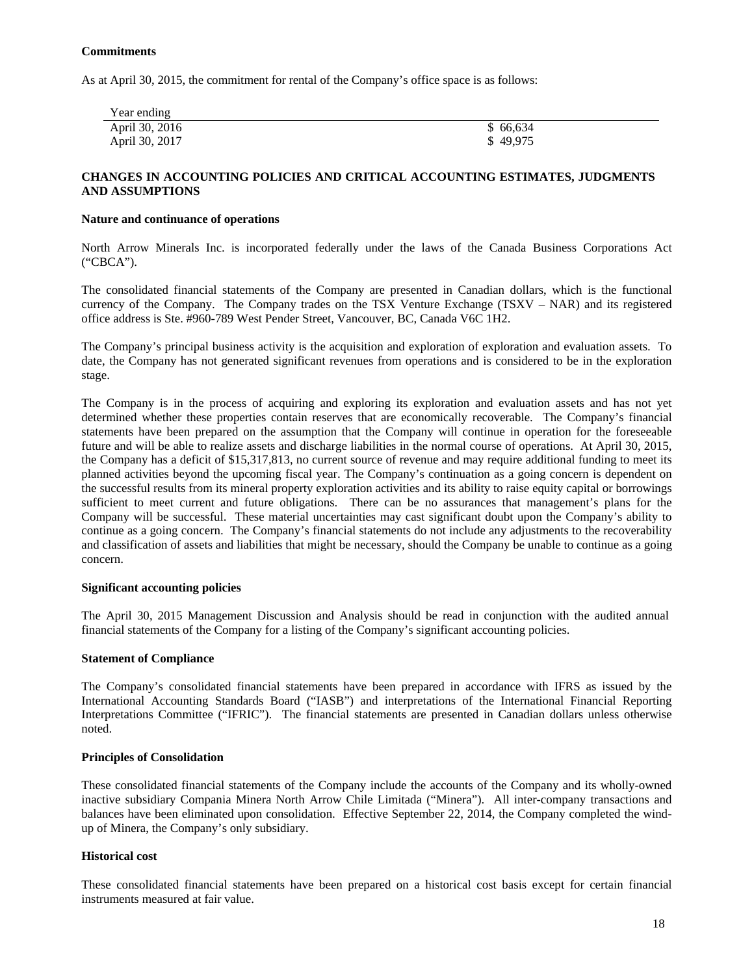# **Commitments**

As at April 30, 2015, the commitment for rental of the Company's office space is as follows:

| Year ending    |          |
|----------------|----------|
| April 30, 2016 | \$66,634 |
| April 30, 2017 | \$49,975 |

# **CHANGES IN ACCOUNTING POLICIES AND CRITICAL ACCOUNTING ESTIMATES, JUDGMENTS AND ASSUMPTIONS**

#### **Nature and continuance of operations**

North Arrow Minerals Inc. is incorporated federally under the laws of the Canada Business Corporations Act ("CBCA").

The consolidated financial statements of the Company are presented in Canadian dollars, which is the functional currency of the Company. The Company trades on the TSX Venture Exchange (TSXV – NAR) and its registered office address is Ste. #960-789 West Pender Street, Vancouver, BC, Canada V6C 1H2.

The Company's principal business activity is the acquisition and exploration of exploration and evaluation assets. To date, the Company has not generated significant revenues from operations and is considered to be in the exploration stage.

The Company is in the process of acquiring and exploring its exploration and evaluation assets and has not yet determined whether these properties contain reserves that are economically recoverable. The Company's financial statements have been prepared on the assumption that the Company will continue in operation for the foreseeable future and will be able to realize assets and discharge liabilities in the normal course of operations. At April 30, 2015, the Company has a deficit of \$15,317,813, no current source of revenue and may require additional funding to meet its planned activities beyond the upcoming fiscal year. The Company's continuation as a going concern is dependent on the successful results from its mineral property exploration activities and its ability to raise equity capital or borrowings sufficient to meet current and future obligations. There can be no assurances that management's plans for the Company will be successful. These material uncertainties may cast significant doubt upon the Company's ability to continue as a going concern. The Company's financial statements do not include any adjustments to the recoverability and classification of assets and liabilities that might be necessary, should the Company be unable to continue as a going concern.

#### **Significant accounting policies**

The April 30, 2015 Management Discussion and Analysis should be read in conjunction with the audited annual financial statements of the Company for a listing of the Company's significant accounting policies.

# **Statement of Compliance**

The Company's consolidated financial statements have been prepared in accordance with IFRS as issued by the International Accounting Standards Board ("IASB") and interpretations of the International Financial Reporting Interpretations Committee ("IFRIC"). The financial statements are presented in Canadian dollars unless otherwise noted.

# **Principles of Consolidation**

These consolidated financial statements of the Company include the accounts of the Company and its wholly-owned inactive subsidiary Compania Minera North Arrow Chile Limitada ("Minera"). All inter-company transactions and balances have been eliminated upon consolidation. Effective September 22, 2014, the Company completed the windup of Minera, the Company's only subsidiary.

#### **Historical cost**

These consolidated financial statements have been prepared on a historical cost basis except for certain financial instruments measured at fair value.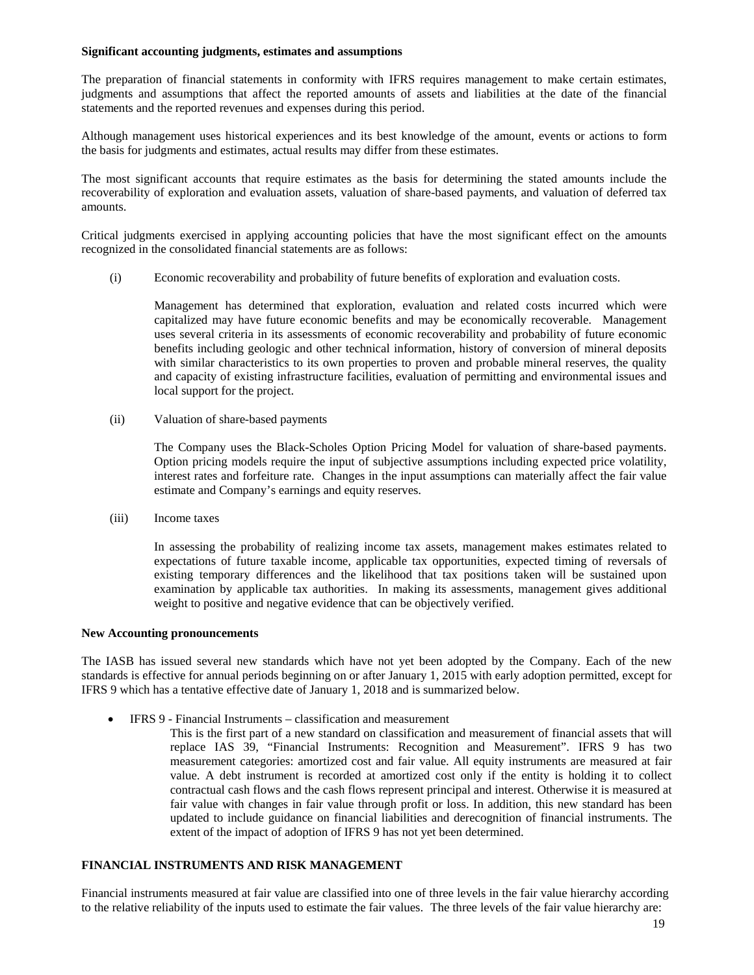#### **Significant accounting judgments, estimates and assumptions**

The preparation of financial statements in conformity with IFRS requires management to make certain estimates, judgments and assumptions that affect the reported amounts of assets and liabilities at the date of the financial statements and the reported revenues and expenses during this period.

Although management uses historical experiences and its best knowledge of the amount, events or actions to form the basis for judgments and estimates, actual results may differ from these estimates.

The most significant accounts that require estimates as the basis for determining the stated amounts include the recoverability of exploration and evaluation assets, valuation of share-based payments, and valuation of deferred tax amounts.

Critical judgments exercised in applying accounting policies that have the most significant effect on the amounts recognized in the consolidated financial statements are as follows:

(i) Economic recoverability and probability of future benefits of exploration and evaluation costs.

Management has determined that exploration, evaluation and related costs incurred which were capitalized may have future economic benefits and may be economically recoverable. Management uses several criteria in its assessments of economic recoverability and probability of future economic benefits including geologic and other technical information, history of conversion of mineral deposits with similar characteristics to its own properties to proven and probable mineral reserves, the quality and capacity of existing infrastructure facilities, evaluation of permitting and environmental issues and local support for the project.

(ii) Valuation of share-based payments

The Company uses the Black-Scholes Option Pricing Model for valuation of share-based payments. Option pricing models require the input of subjective assumptions including expected price volatility, interest rates and forfeiture rate. Changes in the input assumptions can materially affect the fair value estimate and Company's earnings and equity reserves.

(iii) Income taxes

In assessing the probability of realizing income tax assets, management makes estimates related to expectations of future taxable income, applicable tax opportunities, expected timing of reversals of existing temporary differences and the likelihood that tax positions taken will be sustained upon examination by applicable tax authorities. In making its assessments, management gives additional weight to positive and negative evidence that can be objectively verified.

#### **New Accounting pronouncements**

The IASB has issued several new standards which have not yet been adopted by the Company. Each of the new standards is effective for annual periods beginning on or after January 1, 2015 with early adoption permitted, except for IFRS 9 which has a tentative effective date of January 1, 2018 and is summarized below.

- IFRS 9 Financial Instruments classification and measurement
	- This is the first part of a new standard on classification and measurement of financial assets that will replace IAS 39, "Financial Instruments: Recognition and Measurement". IFRS 9 has two measurement categories: amortized cost and fair value. All equity instruments are measured at fair value. A debt instrument is recorded at amortized cost only if the entity is holding it to collect contractual cash flows and the cash flows represent principal and interest. Otherwise it is measured at fair value with changes in fair value through profit or loss. In addition, this new standard has been updated to include guidance on financial liabilities and derecognition of financial instruments. The extent of the impact of adoption of IFRS 9 has not yet been determined.

# **FINANCIAL INSTRUMENTS AND RISK MANAGEMENT**

Financial instruments measured at fair value are classified into one of three levels in the fair value hierarchy according to the relative reliability of the inputs used to estimate the fair values. The three levels of the fair value hierarchy are: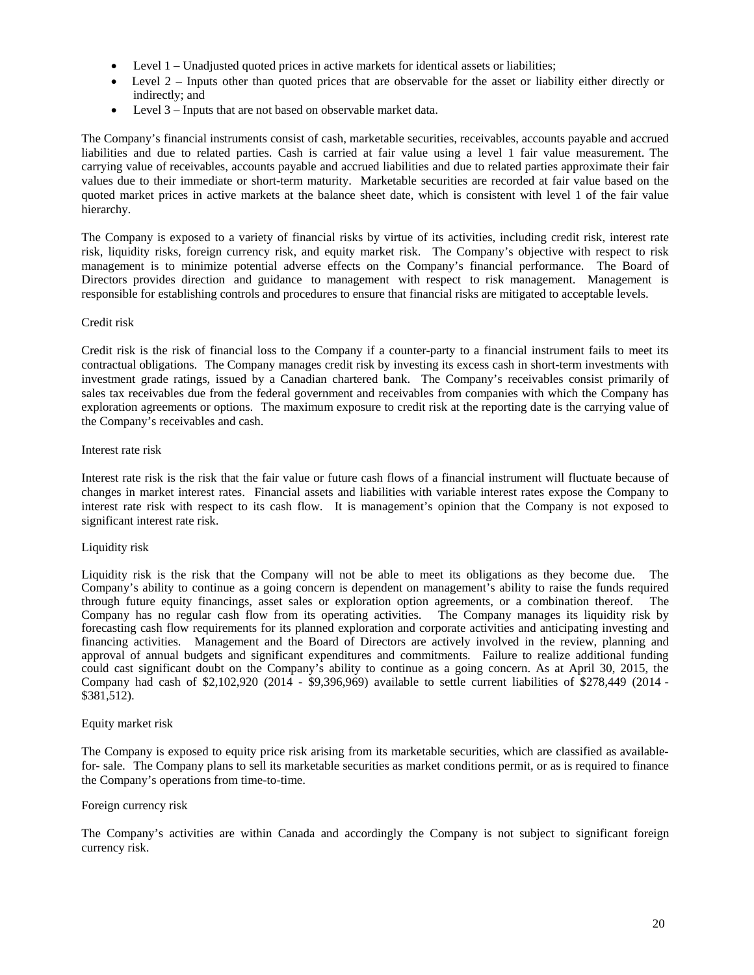- Level 1 Unadjusted quoted prices in active markets for identical assets or liabilities;
- Level 2 Inputs other than quoted prices that are observable for the asset or liability either directly or indirectly; and
- Level 3 Inputs that are not based on observable market data.

The Company's financial instruments consist of cash, marketable securities, receivables, accounts payable and accrued liabilities and due to related parties. Cash is carried at fair value using a level 1 fair value measurement. The carrying value of receivables, accounts payable and accrued liabilities and due to related parties approximate their fair values due to their immediate or short-term maturity. Marketable securities are recorded at fair value based on the quoted market prices in active markets at the balance sheet date, which is consistent with level 1 of the fair value hierarchy.

The Company is exposed to a variety of financial risks by virtue of its activities, including credit risk, interest rate risk, liquidity risks, foreign currency risk, and equity market risk. The Company's objective with respect to risk management is to minimize potential adverse effects on the Company's financial performance. The Board of Directors provides direction and guidance to management with respect to risk management. Management is responsible for establishing controls and procedures to ensure that financial risks are mitigated to acceptable levels.

#### Credit risk

Credit risk is the risk of financial loss to the Company if a counter-party to a financial instrument fails to meet its contractual obligations. The Company manages credit risk by investing its excess cash in short-term investments with investment grade ratings, issued by a Canadian chartered bank. The Company's receivables consist primarily of sales tax receivables due from the federal government and receivables from companies with which the Company has exploration agreements or options. The maximum exposure to credit risk at the reporting date is the carrying value of the Company's receivables and cash.

#### Interest rate risk

Interest rate risk is the risk that the fair value or future cash flows of a financial instrument will fluctuate because of changes in market interest rates. Financial assets and liabilities with variable interest rates expose the Company to interest rate risk with respect to its cash flow. It is management's opinion that the Company is not exposed to significant interest rate risk.

#### Liquidity risk

Liquidity risk is the risk that the Company will not be able to meet its obligations as they become due. The Company's ability to continue as a going concern is dependent on management's ability to raise the funds required through future equity financings, asset sales or exploration option agreements, or a combination thereof. The Company has no regular cash flow from its operating activities. The Company manages its liquidity risk by forecasting cash flow requirements for its planned exploration and corporate activities and anticipating investing and financing activities. Management and the Board of Directors are actively involved in the review, planning and approval of annual budgets and significant expenditures and commitments. Failure to realize additional funding could cast significant doubt on the Company's ability to continue as a going concern. As at April 30, 2015, the Company had cash of \$2,102,920 (2014 - \$9,396,969) available to settle current liabilities of \$278,449 (2014 - \$381,512).

#### Equity market risk

The Company is exposed to equity price risk arising from its marketable securities, which are classified as availablefor- sale. The Company plans to sell its marketable securities as market conditions permit, or as is required to finance the Company's operations from time-to-time.

#### Foreign currency risk

The Company's activities are within Canada and accordingly the Company is not subject to significant foreign currency risk.